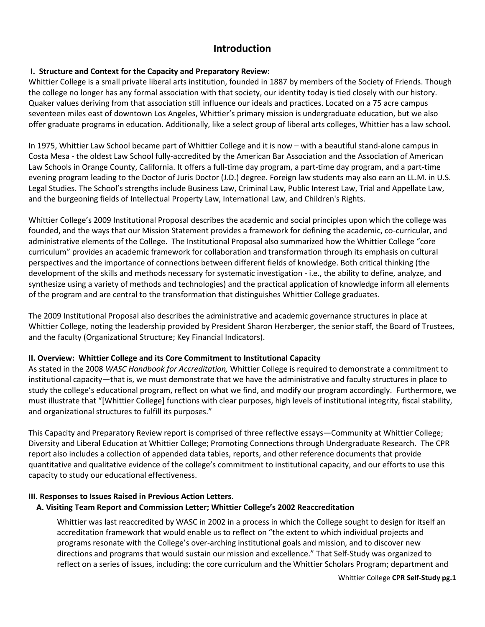# **Introduction**

# **I. Structure and Context for the Capacity and Preparatory Review:**

Whittier College is a small private liberal arts institution, founded in 1887 by members of the Society of Friends. Though the college no longer has any formal association with that society, our identity today is tied closely with our history. Quaker values deriving from that association still influence our ideals and practices. Located on a 75 acre campus seventeen miles east of downtown Los Angeles, Whittier's primary mission is undergraduate education, but we also offer graduate programs in education. Additionally, like a select group of liberal arts colleges, Whittier has a law school.

In 1975, Whittier Law School became part of Whittier College and it is now – with a beautiful stand-alone campus in Costa Mesa - the oldest Law School fully-accredited by the American Bar Association and the Association of American Law Schools in Orange County, California. It offers a full-time day program, a part-time day program, and a part-time evening program leading to the Doctor of Juris Doctor (J.D.) degree. Foreign law students may also earn an LL.M. in U.S. Legal Studies. The School's strengths include Business Law, Criminal Law, Public Interest Law, Trial and Appellate Law, and the burgeoning fields of Intellectual Property Law, International Law, and Children's Rights.

Whittier College's 2009 Institutional Proposal describes the academic and social principles upon which the college was founded, and the ways that our Mission Statement provides a framework for defining the academic, co-curricular, and administrative elements of the College. The Institutional Proposal also summarized how the Whittier College "core curriculum" provides an academic framework for collaboration and transformation through its emphasis on cultural perspectives and the importance of connections between different fields of knowledge. Both critical thinking (the development of the skills and methods necessary for systematic investigation - i.e., the ability to define, analyze, and synthesize using a variety of methods and technologies) and the practical application of knowledge inform all elements of the program and are central to the transformation that distinguishes Whittier College graduates.

The 2009 Institutional Proposal also describes the administrative and academic governance structures in place at Whittier College, noting the leadership provided by President Sharon Herzberger, the senior staff, the Board of Trustees, and the faculty (Organizational Structure; Key Financial Indicators).

# **II. Overview: Whittier College and its Core Commitment to Institutional Capacity**

As stated in the 2008 *WASC Handbook for Accreditation,* Whittier College is required to demonstrate a commitment to institutional capacity—that is, we must demonstrate that we have the administrative and faculty structures in place to study the college's educational program, reflect on what we find, and modify our program accordingly. Furthermore, we must illustrate that "[Whittier College] functions with clear purposes, high levels of institutional integrity, fiscal stability, and organizational structures to fulfill its purposes."

This Capacity and Preparatory Review report is comprised of three reflective essays—Community at Whittier College; Diversity and Liberal Education at Whittier College; Promoting Connections through Undergraduate Research. The CPR report also includes a collection of appended data tables, reports, and other reference documents that provide quantitative and qualitative evidence of the college's commitment to institutional capacity, and our efforts to use this capacity to study our educational effectiveness.

# **III. Responses to Issues Raised in Previous Action Letters.**

# **A. Visiting Team Report and Commission Letter; Whittier College's 2002 Reaccreditation**

Whittier was last reaccredited by WASC in 2002 in a process in which the College sought to design for itself an accreditation framework that would enable us to reflect on "the extent to which individual projects and programs resonate with the College's over-arching institutional goals and mission, and to discover new directions and programs that would sustain our mission and excellence." That Self-Study was organized to reflect on a series of issues, including: the core curriculum and the Whittier Scholars Program; department and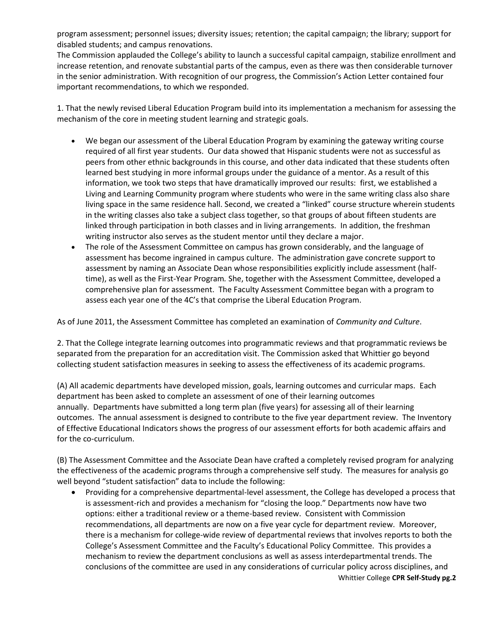program assessment; personnel issues; diversity issues; retention; the capital campaign; the library; support for disabled students; and campus renovations.

The Commission applauded the College's ability to launch a successful capital campaign, stabilize enrollment and increase retention, and renovate substantial parts of the campus, even as there was then considerable turnover in the senior administration. With recognition of our progress, the Commission's Action Letter contained four important recommendations, to which we responded.

1. That the newly revised Liberal Education Program build into its implementation a mechanism for assessing the mechanism of the core in meeting student learning and strategic goals.

- We began our assessment of the Liberal Education Program by examining the gateway writing course required of all first year students. Our data showed that Hispanic students were not as successful as peers from other ethnic backgrounds in this course, and other data indicated that these students often learned best studying in more informal groups under the guidance of a mentor. As a result of this information, we took two steps that have dramatically improved our results: first, we established a Living and Learning Community program where students who were in the same writing class also share living space in the same residence hall. Second, we created a "linked" course structure wherein students in the writing classes also take a subject class together, so that groups of about fifteen students are linked through participation in both classes and in living arrangements. In addition, the freshman writing instructor also serves as the student mentor until they declare a major.
- The role of the Assessment Committee on campus has grown considerably, and the language of assessment has become ingrained in campus culture. The administration gave concrete support to assessment by naming an Associate Dean whose responsibilities explicitly include assessment (halftime), as well as the First-Year Program*.* She, together with the Assessment Committee, developed a comprehensive plan for assessment. The Faculty Assessment Committee began with a program to assess each year one of the 4C's that comprise the Liberal Education Program.

As of June 2011, the Assessment Committee has completed an examination of *Community and Culture*.

2. That the College integrate learning outcomes into programmatic reviews and that programmatic reviews be separated from the preparation for an accreditation visit. The Commission asked that Whittier go beyond collecting student satisfaction measures in seeking to assess the effectiveness of its academic programs.

(A) All academic departments have developed mission, goals, learning outcomes and curricular maps. Each department has been asked to complete an assessment of one of their learning outcomes annually. Departments have submitted a long term plan (five years) for assessing all of their learning outcomes. The annual assessment is designed to contribute to the five year department review. The Inventory of Effective Educational Indicators shows the progress of our assessment efforts for both academic affairs and for the co-curriculum.

(B) The Assessment Committee and the Associate Dean have crafted a completely revised program for analyzing the effectiveness of the academic programs through a comprehensive self study. The measures for analysis go well beyond "student satisfaction" data to include the following:

Whittier College **CPR Self-Study pg.2** Providing for a comprehensive departmental-level assessment, the College has developed a process that is assessment-rich and provides a mechanism for "closing the loop." Departments now have two options: either a traditional review or a theme-based review. Consistent with Commission recommendations, all departments are now on a five year cycle for department review. Moreover, there is a mechanism for college-wide review of departmental reviews that involves reports to both the College's Assessment Committee and the Faculty's Educational Policy Committee. This provides a mechanism to review the department conclusions as well as assess interdepartmental trends. The conclusions of the committee are used in any considerations of curricular policy across disciplines, and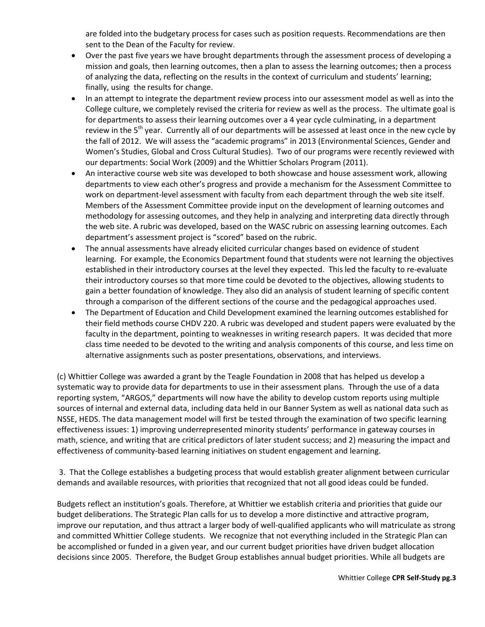are folded into the budgetary process for cases such as position requests. Recommendations are then sent to the Dean of the Faculty for review.

- Over the past five years we have brought departments through the assessment process of developing a mission and goals, then learning outcomes, then a plan to assess the learning outcomes; then a process of analyzing the data, reflecting on the results in the context of curriculum and students' learning; finally, using the results for change.
- In an attempt to integrate the department review process into our assessment model as well as into the College culture, we completely revised the criteria for review as well as the process. The ultimate goal is for departments to assess their learning outcomes over a 4 year cycle culminating, in a department review in the 5<sup>th</sup> year. Currently all of our departments will be assessed at least once in the new cycle by the fall of 2012. We will assess the "academic programs" in 2013 (Environmental Sciences, Gender and Women's Studies, Global and Cross Cultural Studies). Two of our programs were recently reviewed with our departments: Social Work (2009) and the Whittier Scholars Program (2011).
- An interactive course web site was developed to both showcase and house assessment work, allowing departments to view each other's progress and provide a mechanism for the Assessment Committee to work on department-level assessment with faculty from each department through the web site itself. Members of the Assessment Committee provide input on the development of learning outcomes and methodology for assessing outcomes, and they help in analyzing and interpreting data directly through the web site. A rubric was developed, based on the WASC rubric on assessing learning outcomes. Each department's assessment project is "scored" based on the rubric.
- The annual assessments have already elicited curricular changes based on evidence of student learning. For example, the Economics Department found that students were not learning the objectives established in their introductory courses at the level they expected. This led the faculty to re-evaluate their introductory courses so that more time could be devoted to the objectives, allowing students to gain a better foundation of knowledge. They also did an analysis of student learning of specific content through a comparison of the different sections of the course and the pedagogical approaches used.
- The Department of Education and Child Development examined the learning outcomes established for their field methods course CHDV 220. A rubric was developed and student papers were evaluated by the faculty in the department, pointing to weaknesses in writing research papers. It was decided that more class time needed to be devoted to the writing and analysis components of this course, and less time on alternative assignments such as poster presentations, observations, and interviews.

(c) Whittier College was awarded a grant by the Teagle Foundation in 2008 that has helped us develop a systematic way to provide data for departments to use in their assessment plans. Through the use of a data reporting system, "ARGOS," departments will now have the ability to develop custom reports using multiple sources of internal and external data, including data held in our Banner System as well as national data such as NSSE, HEDS. The data management model will first be tested through the examination of two specific learning effectiveness issues: 1) improving underrepresented minority students' performance in gateway courses in math, science, and writing that are critical predictors of later student success; and 2) measuring the impact and effectiveness of community-based learning initiatives on student engagement and learning.

3. That the College establishes a budgeting process that would establish greater alignment between curricular demands and available resources, with priorities that recognized that not all good ideas could be funded.

Budgets reflect an institution's goals. Therefore, at Whittier we establish criteria and priorities that guide our budget deliberations. The Strategic Plan calls for us to develop a more distinctive and attractive program, improve our reputation, and thus attract a larger body of well-qualified applicants who will matriculate as strong and committed Whittier College students. We recognize that not everything included in the Strategic Plan can be accomplished or funded in a given year, and our current budget priorities have driven budget allocation decisions since 2005. Therefore, the Budget Group establishes annual budget priorities. While all budgets are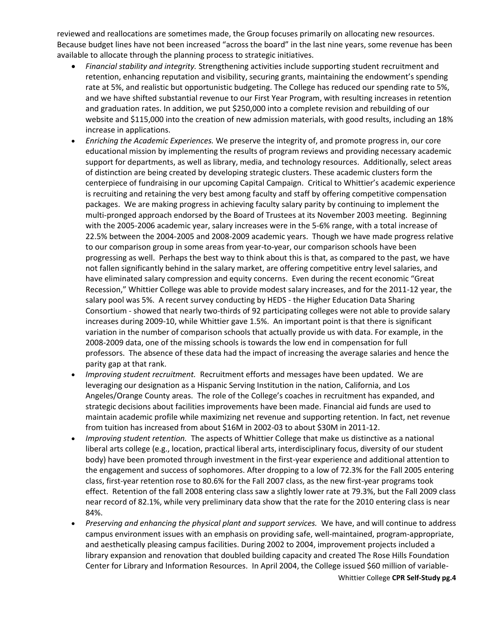reviewed and reallocations are sometimes made, the Group focuses primarily on allocating new resources. Because budget lines have not been increased "across the board" in the last nine years, some revenue has been available to allocate through the planning process to strategic initiatives.

- *Financial stability and integrity.* Strengthening activities include supporting student recruitment and retention, enhancing reputation and visibility, securing grants, maintaining the endowment's spending rate at 5%, and realistic but opportunistic budgeting. The College has reduced our spending rate to 5%, and we have shifted substantial revenue to our First Year Program, with resulting increases in retention and graduation rates. In addition, we put \$250,000 into a complete revision and rebuilding of our website and \$115,000 into the creation of new admission materials, with good results, including an 18% increase in applications.
- *Enriching the Academic Experiences.* We preserve the integrity of, and promote progress in, our core educational mission by implementing the results of program reviews and providing necessary academic support for departments, as well as library, media, and technology resources. Additionally, select areas of distinction are being created by developing strategic clusters. These academic clusters form the centerpiece of fundraising in our upcoming Capital Campaign. Critical to Whittier's academic experience is recruiting and retaining the very best among faculty and staff by offering competitive compensation packages. We are making progress in achieving faculty salary parity by continuing to implement the multi-pronged approach endorsed by the Board of Trustees at its November 2003 meeting. Beginning with the 2005-2006 academic year, salary increases were in the 5-6% range, with a total increase of 22.5% between the 2004-2005 and 2008-2009 academic years. Though we have made progress relative to our comparison group in some areas from year-to-year, our comparison schools have been progressing as well. Perhaps the best way to think about this is that, as compared to the past, we have not fallen significantly behind in the salary market, are offering competitive entry level salaries, and have eliminated salary compression and equity concerns. Even during the recent economic "Great Recession," Whittier College was able to provide modest salary increases, and for the 2011-12 year, the salary pool was 5%. A recent survey conducting by HEDS - the Higher Education Data Sharing Consortium - showed that nearly two-thirds of 92 participating colleges were not able to provide salary increases during 2009-10, while Whittier gave 1.5%. An important point is that there is significant variation in the number of comparison schools that actually provide us with data. For example, in the 2008-2009 data, one of the missing schools is towards the low end in compensation for full professors. The absence of these data had the impact of increasing the average salaries and hence the parity gap at that rank.
- *Improving student recruitment.* Recruitment efforts and messages have been updated. We are leveraging our designation as a Hispanic Serving Institution in the nation, California, and Los Angeles/Orange County areas. The role of the College's coaches in recruitment has expanded, and strategic decisions about facilities improvements have been made. Financial aid funds are used to maintain academic profile while maximizing net revenue and supporting retention. In fact, net revenue from tuition has increased from about \$16M in 2002-03 to about \$30M in 2011-12.
- *Improving student retention.* The aspects of Whittier College that make us distinctive as a national liberal arts college (e.g., location, practical liberal arts, interdisciplinary focus, diversity of our student body) have been promoted through investment in the first-year experience and additional attention to the engagement and success of sophomores. After dropping to a low of 72.3% for the Fall 2005 entering class, first-year retention rose to 80.6% for the Fall 2007 class, as the new first-year programs took effect. Retention of the fall 2008 entering class saw a slightly lower rate at 79.3%, but the Fall 2009 class near record of 82.1%, while very preliminary data show that the rate for the 2010 entering class is near 84%.
- *Preserving and enhancing the physical plant and support services.* We have, and will continue to address campus environment issues with an emphasis on providing safe, well-maintained, program-appropriate, and aesthetically pleasing campus facilities. During 2002 to 2004, improvement projects included a library expansion and renovation that doubled building capacity and created The Rose Hills Foundation Center for Library and Information Resources. In April 2004, the College issued \$60 million of variable-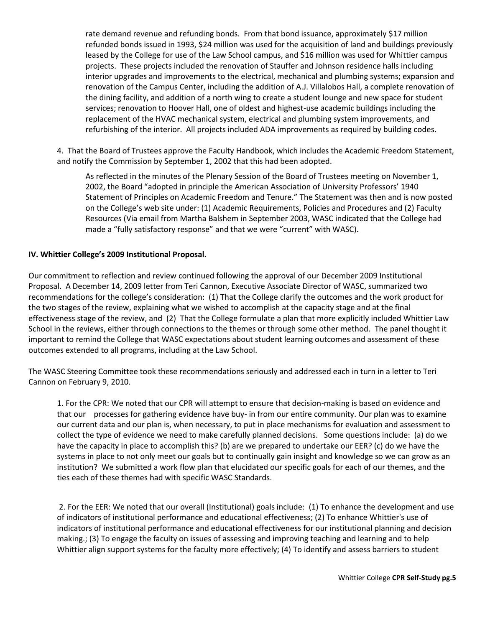rate demand revenue and refunding bonds. From that bond issuance, approximately \$17 million refunded bonds issued in 1993, \$24 million was used for the acquisition of land and buildings previously leased by the College for use of the Law School campus, and \$16 million was used for Whittier campus projects. These projects included the renovation of Stauffer and Johnson residence halls including interior upgrades and improvements to the electrical, mechanical and plumbing systems; expansion and renovation of the Campus Center, including the addition of A.J. Villalobos Hall, a complete renovation of the dining facility, and addition of a north wing to create a student lounge and new space for student services; renovation to Hoover Hall, one of oldest and highest-use academic buildings including the replacement of the HVAC mechanical system, electrical and plumbing system improvements, and refurbishing of the interior. All projects included ADA improvements as required by building codes.

4. That the Board of Trustees approve the Faculty Handbook, which includes the Academic Freedom Statement, and notify the Commission by September 1, 2002 that this had been adopted.

As reflected in the minutes of the Plenary Session of the Board of Trustees meeting on November 1, 2002, the Board "adopted in principle the American Association of University Professors' 1940 Statement of Principles on Academic Freedom and Tenure." The Statement was then and is now posted on the College's web site under: (1) Academic Requirements, Policies and Procedures and (2) Faculty Resources (Via email from Martha Balshem in September 2003, WASC indicated that the College had made a "fully satisfactory response" and that we were "current" with WASC).

### **IV. Whittier College's 2009 Institutional Proposal.**

Our commitment to reflection and review continued following the approval of our December 2009 Institutional Proposal. A December 14, 2009 letter from Teri Cannon, Executive Associate Director of WASC, summarized two recommendations for the college's consideration: (1) That the College clarify the outcomes and the work product for the two stages of the review, explaining what we wished to accomplish at the capacity stage and at the final effectiveness stage of the review, and (2) That the College formulate a plan that more explicitly included Whittier Law School in the reviews, either through connections to the themes or through some other method. The panel thought it important to remind the College that WASC expectations about student learning outcomes and assessment of these outcomes extended to all programs, including at the Law School.

The WASC Steering Committee took these recommendations seriously and addressed each in turn in a letter to Teri Cannon on February 9, 2010.

1. For the CPR: We noted that our CPR will attempt to ensure that decision-making is based on evidence and that our processes for gathering evidence have buy- in from our entire community. Our plan was to examine our current data and our plan is, when necessary, to put in place mechanisms for evaluation and assessment to collect the type of evidence we need to make carefully planned decisions. Some questions include: (a) do we have the capacity in place to accomplish this? (b) are we prepared to undertake our EER? (c) do we have the systems in place to not only meet our goals but to continually gain insight and knowledge so we can grow as an institution? We submitted a work flow plan that elucidated our specific goals for each of our themes, and the ties each of these themes had with specific WASC Standards.

2. For the EER: We noted that our overall (Institutional) goals include: (1) To enhance the development and use of indicators of institutional performance and educational effectiveness; (2) To enhance Whittier's use of indicators of institutional performance and educational effectiveness for our institutional planning and decision making.; (3) To engage the faculty on issues of assessing and improving teaching and learning and to help Whittier align support systems for the faculty more effectively; (4) To identify and assess barriers to student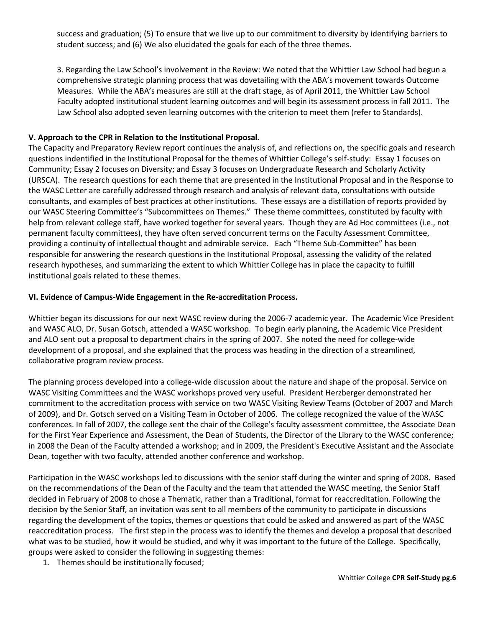success and graduation; (5) To ensure that we live up to our commitment to diversity by identifying barriers to student success; and (6) We also elucidated the goals for each of the three themes.

3. Regarding the Law School's involvement in the Review: We noted that the Whittier Law School had begun a comprehensive strategic planning process that was dovetailing with the ABA's movement towards Outcome Measures. While the ABA's measures are still at the draft stage, as of April 2011, the Whittier Law School Faculty adopted institutional student learning outcomes and will begin its assessment process in fall 2011. The Law School also adopted seven learning outcomes with the criterion to meet them (refer to Standards).

### **V. Approach to the CPR in Relation to the Institutional Proposal.**

The Capacity and Preparatory Review report continues the analysis of, and reflections on, the specific goals and research questions indentified in the Institutional Proposal for the themes of Whittier College's self-study: Essay 1 focuses on Community; Essay 2 focuses on Diversity; and Essay 3 focuses on Undergraduate Research and Scholarly Activity (URSCA). The research questions for each theme that are presented in the Institutional Proposal and in the Response to the WASC Letter are carefully addressed through research and analysis of relevant data, consultations with outside consultants, and examples of best practices at other institutions. These essays are a distillation of reports provided by our WASC Steering Committee's "Subcommittees on Themes." These theme committees, constituted by faculty with help from relevant college staff, have worked together for several years. Though they are Ad Hoc committees (i.e., not permanent faculty committees), they have often served concurrent terms on the Faculty Assessment Committee, providing a continuity of intellectual thought and admirable service. Each "Theme Sub-Committee" has been responsible for answering the research questions in the Institutional Proposal, assessing the validity of the related research hypotheses, and summarizing the extent to which Whittier College has in place the capacity to fulfill institutional goals related to these themes.

#### **VI. Evidence of Campus-Wide Engagement in the Re-accreditation Process.**

Whittier began its discussions for our next WASC review during the 2006-7 academic year. The Academic Vice President and WASC ALO, Dr. Susan Gotsch, attended a WASC workshop. To begin early planning, the Academic Vice President and ALO sent out a proposal to department chairs in the spring of 2007. She noted the need for college-wide development of a proposal, and she explained that the process was heading in the direction of a streamlined, collaborative program review process.

The planning process developed into a college-wide discussion about the nature and shape of the proposal. Service on WASC Visiting Committees and the WASC workshops proved very useful. President Herzberger demonstrated her commitment to the accreditation process with service on two WASC Visiting Review Teams (October of 2007 and March of 2009), and Dr. Gotsch served on a Visiting Team in October of 2006. The college recognized the value of the WASC conferences. In fall of 2007, the college sent the chair of the College's faculty assessment committee, the Associate Dean for the First Year Experience and Assessment, the Dean of Students, the Director of the Library to the WASC conference; in 2008 the Dean of the Faculty attended a workshop; and in 2009, the President's Executive Assistant and the Associate Dean, together with two faculty, attended another conference and workshop.

Participation in the WASC workshops led to discussions with the senior staff during the winter and spring of 2008. Based on the recommendations of the Dean of the Faculty and the team that attended the WASC meeting, the Senior Staff decided in February of 2008 to chose a Thematic, rather than a Traditional, format for reaccreditation. Following the decision by the Senior Staff, an invitation was sent to all members of the community to participate in discussions regarding the development of the topics, themes or questions that could be asked and answered as part of the WASC reaccreditation process. The first step in the process was to identify the themes and develop a proposal that described what was to be studied, how it would be studied, and why it was important to the future of the College. Specifically, groups were asked to consider the following in suggesting themes:

1. Themes should be institutionally focused;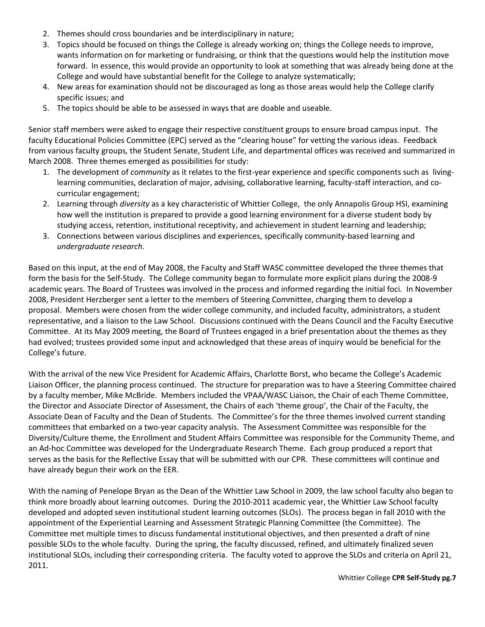- 2. Themes should cross boundaries and be interdisciplinary in nature;
- 3. Topics should be focused on things the College is already working on; things the College needs to improve, wants information on for marketing or fundraising, or think that the questions would help the institution move forward. In essence, this would provide an opportunity to look at something that was already being done at the College and would have substantial benefit for the College to analyze systematically;
- 4. New areas for examination should not be discouraged as long as those areas would help the College clarify specific issues; and
- 5. The topics should be able to be assessed in ways that are doable and useable.

Senior staff members were asked to engage their respective constituent groups to ensure broad campus input. The faculty Educational Policies Committee (EPC) served as the "clearing house" for vetting the various ideas. Feedback from various faculty groups, the Student Senate, Student Life, and departmental offices was received and summarized in March 2008. Three themes emerged as possibilities for study:

- 1. The development of *community* as it relates to the first-year experience and specific components such as livinglearning communities, declaration of major, advising, collaborative learning, faculty-staff interaction, and cocurricular engagement;
- 2. Learning through *diversity* as a key characteristic of Whittier College, the only Annapolis Group HSI, examining how well the institution is prepared to provide a good learning environment for a diverse student body by studying access, retention, institutional receptivity, and achievement in student learning and leadership;
- 3. Connections between various disciplines and experiences, specifically community-based learning and *undergraduate research*.

Based on this input, at the end of May 2008, the Faculty and Staff WASC committee developed the three themes that form the basis for the Self-Study. The College community began to formulate more explicit plans during the 2008-9 academic years. The Board of Trustees was involved in the process and informed regarding the initial foci. In November 2008, President Herzberger sent a letter to the members of Steering Committee, charging them to develop a proposal. Members were chosen from the wider college community, and included faculty, administrators, a student representative, and a liaison to the Law School. Discussions continued with the Deans Council and the Faculty Executive Committee. At its May 2009 meeting, the Board of Trustees engaged in a brief presentation about the themes as they had evolved; trustees provided some input and acknowledged that these areas of inquiry would be beneficial for the College's future.

With the arrival of the new Vice President for Academic Affairs, Charlotte Borst, who became the College's Academic Liaison Officer, the planning process continued. The structure for preparation was to have a Steering Committee chaired by a faculty member, Mike McBride. Members included the VPAA/WASC Liaison, the Chair of each Theme Committee, the Director and Associate Director of Assessment, the Chairs of each 'theme group', the Chair of the Faculty, the Associate Dean of Faculty and the Dean of Students. The Committee's for the three themes involved current standing committees that embarked on a two-year capacity analysis. The Assessment Committee was responsible for the Diversity/Culture theme, the Enrollment and Student Affairs Committee was responsible for the Community Theme, and an Ad-hoc Committee was developed for the Undergraduate Research Theme. Each group produced a report that serves as the basis for the Reflective Essay that will be submitted with our CPR. These committees will continue and have already begun their work on the EER.

With the naming of Penelope Bryan as the Dean of the Whittier Law School in 2009, the law school faculty also began to think more broadly about learning outcomes. During the 2010-2011 academic year, the Whittier Law School faculty developed and adopted seven institutional student learning outcomes (SLOs). The process began in fall 2010 with the appointment of the Experiential Learning and Assessment Strategic Planning Committee (the Committee). The Committee met multiple times to discuss fundamental institutional objectives, and then presented a draft of nine possible SLOs to the whole faculty. During the spring, the faculty discussed, refined, and ultimately finalized seven institutional SLOs, including their corresponding criteria. The faculty voted to approve the SLOs and criteria on April 21, 2011.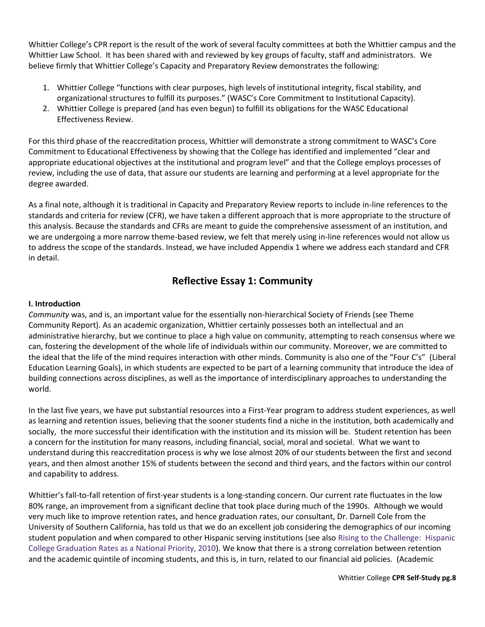Whittier College's CPR report is the result of the work of several faculty committees at both the Whittier campus and the Whittier Law School. It has been shared with and reviewed by key groups of faculty, staff and administrators. We believe firmly that Whittier College's Capacity and Preparatory Review demonstrates the following:

- 1. Whittier College "functions with clear purposes, high levels of institutional integrity, fiscal stability, and organizational structures to fulfill its purposes." (WASC's Core Commitment to Institutional Capacity).
- 2. Whittier College is prepared (and has even begun) to fulfill its obligations for the WASC Educational Effectiveness Review.

For this third phase of the reaccreditation process, Whittier will demonstrate a strong commitment to WASC's Core Commitment to Educational Effectiveness by showing that the College has identified and implemented "clear and appropriate educational objectives at the institutional and program level" and that the College employs processes of review, including the use of data, that assure our students are learning and performing at a level appropriate for the degree awarded.

As a final note, although it is traditional in Capacity and Preparatory Review reports to include in-line references to the standards and criteria for review (CFR), we have taken a different approach that is more appropriate to the structure of this analysis. Because the standards and CFRs are meant to guide the comprehensive assessment of an institution, and we are undergoing a more narrow theme-based review, we felt that merely using in-line references would not allow us to address the scope of the standards. Instead, we have included Appendix 1 where we address each standard and CFR in detail.

# **Reflective Essay 1: Community**

## **I. Introduction**

*Community* was, and is, an important value for the essentially non-hierarchical Society of Friends (see Theme Community Report). As an academic organization, Whittier certainly possesses both an intellectual and an administrative hierarchy, but we continue to place a high value on community, attempting to reach consensus where we can, fostering the development of the whole life of individuals within our community. Moreover, we are committed to the ideal that the life of the mind requires interaction with other minds. Community is also one of the "Four C's" (Liberal Education Learning Goals), in which students are expected to be part of a learning community that introduce the idea of building connections across disciplines, as well as the importance of interdisciplinary approaches to understanding the world.

In the last five years, we have put substantial resources into a First-Year program to address student experiences, as well as learning and retention issues, believing that the sooner students find a niche in the institution, both academically and socially, the more successful their identification with the institution and its mission will be. Student retention has been a concern for the institution for many reasons, including financial, social, moral and societal. What we want to understand during this reaccreditation process is why we lose almost 20% of our students between the first and second years, and then almost another 15% of students between the second and third years, and the factors within our control and capability to address.

Whittier's fall-to-fall retention of first-year students is a long-standing concern. Our current rate fluctuates in the low 80% range, an improvement from a significant decline that took place during much of the 1990s. Although we would very much like to improve retention rates, and hence graduation rates, our consultant, Dr. Darnell Cole from the University of Southern California, has told us that we do an excellent job considering the demographics of our incoming student population and when compared to other Hispanic serving institutions (see also Rising to the Challenge: Hispanic College Graduation Rates as a National Priority, 2010). We know that there is a strong correlation between retention and the academic quintile of incoming students, and this is, in turn, related to our financial aid policies. (Academic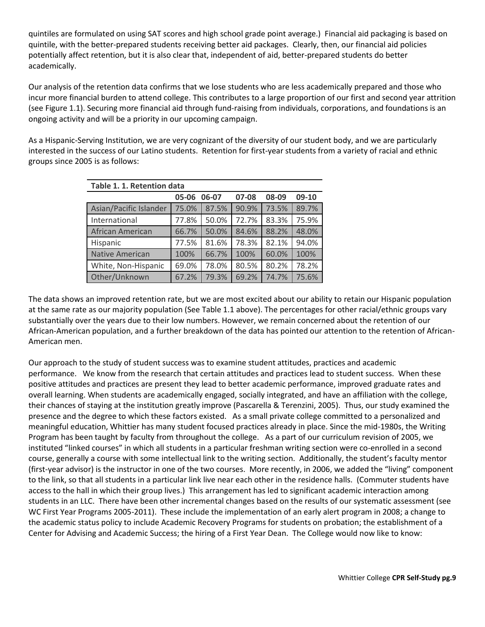quintiles are formulated on using SAT scores and high school grade point average.) Financial aid packaging is based on quintile, with the better-prepared students receiving better aid packages. Clearly, then, our financial aid policies potentially affect retention, but it is also clear that, independent of aid, better-prepared students do better academically.

Our analysis of the retention data confirms that we lose students who are less academically prepared and those who incur more financial burden to attend college. This contributes to a large proportion of our first and second year attrition (see Figure 1.1). Securing more financial aid through fund-raising from individuals, corporations, and foundations is an ongoing activity and will be a priority in our upcoming campaign.

As a Hispanic-Serving Institution, we are very cognizant of the diversity of our student body, and we are particularly interested in the success of our Latino students. Retention for first-year students from a variety of racial and ethnic groups since 2005 is as follows:

| Table 1. 1. Retention data |       |       |       |       |       |  |  |  |
|----------------------------|-------|-------|-------|-------|-------|--|--|--|
|                            | 05-06 | 06-07 | 08-09 | 09-10 |       |  |  |  |
| Asian/Pacific Islander     | 75.0% | 87.5% | 90.9% | 73.5% | 89.7% |  |  |  |
| International              | 77.8% | 50.0% | 72.7% | 83.3% | 75.9% |  |  |  |
| African American           | 66.7% | 50.0% | 84.6% | 88.2% | 48.0% |  |  |  |
| Hispanic                   | 77.5% | 81.6% | 78.3% | 82.1% | 94.0% |  |  |  |
| <b>Native American</b>     | 100%  | 66.7% | 100%  | 60.0% | 100%  |  |  |  |
| White, Non-Hispanic        | 69.0% | 78.0% | 80.5% | 80.2% | 78.2% |  |  |  |
| Other/Unknown              | 67.2% | 79.3% | 69.2% | 74.7% | 75.6% |  |  |  |

The data shows an improved retention rate, but we are most excited about our ability to retain our Hispanic population at the same rate as our majority population (See Table 1.1 above). The percentages for other racial/ethnic groups vary substantially over the years due to their low numbers. However, we remain concerned about the retention of our African-American population, and a further breakdown of the data has pointed our attention to the retention of African-American men.

Our approach to the study of student success was to examine student attitudes, practices and academic performance. We know from the research that certain attitudes and practices lead to student success. When these positive attitudes and practices are present they lead to better academic performance, improved graduate rates and overall learning. When students are academically engaged, socially integrated, and have an affiliation with the college, their chances of staying at the institution greatly improve (Pascarella & Terenzini, 2005). Thus, our study examined the presence and the degree to which these factors existed. As a small private college committed to a personalized and meaningful education, Whittier has many student focused practices already in place. Since the mid-1980s, the Writing Program has been taught by faculty from throughout the college. As a part of our curriculum revision of 2005, we instituted "linked courses" in which all students in a particular freshman writing section were co-enrolled in a second course, generally a course with some intellectual link to the writing section. Additionally, the student's faculty mentor (first-year advisor) is the instructor in one of the two courses. More recently, in 2006, we added the "living" component to the link, so that all students in a particular link live near each other in the residence halls. (Commuter students have access to the hall in which their group lives.) This arrangement has led to significant academic interaction among students in an LLC. There have been other incremental changes based on the results of our systematic assessment (see WC First Year Programs 2005-2011). These include the implementation of an early alert program in 2008; a change to the academic status policy to include Academic Recovery Programs for students on probation; the establishment of a Center for Advising and Academic Success; the hiring of a First Year Dean. The College would now like to know: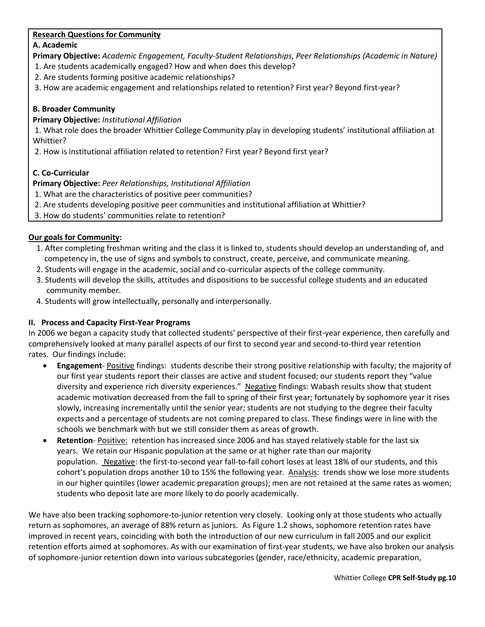## **Research Questions for Community**

## **A. Academic**

**Primary Objective:** *Academic Engagement, Faculty-Student Relationships, Peer Relationships (Academic in Nature)*

- 1. Are students academically engaged? How and when does this develop?
- 2. Are students forming positive academic relationships?
- 3. How are academic engagement and relationships related to retention? First year? Beyond first-year?

# **B. Broader Community**

# **Primary Objective:** *Institutional Affiliation*

1. What role does the broader Whittier College Community play in developing students' institutional affiliation at Whittier?

2. How is institutional affiliation related to retention? First year? Beyond first year?

# **C. Co-Curricular**

# **Primary Objective:** *Peer Relationships, Institutional Affiliation*

- 1. What are the characteristics of positive peer communities?
- 2. Are students developing positive peer communities and institutional affiliation at Whittier?
- 3. How do students' communities relate to retention?

# **Our goals for Community:**

- 1. After completing freshman writing and the class it is linked to, students should develop an understanding of, and competency in, the use of signs and symbols to construct, create, perceive, and communicate meaning.
- 2. Students will engage in the academic, social and co-curricular aspects of the college community.
- 3. Students will develop the skills, attitudes and dispositions to be successful college students and an educated community member.
- 4. Students will grow intellectually, personally and interpersonally.

# **II. Process and Capacity First-Year Programs**

In 2006 we began a capacity study that collected students' perspective of their first-year experience, then carefully and comprehensively looked at many parallel aspects of our first to second year and second-to-third year retention rates. Our findings include:

- **Engagement** Positive findings: students describe their strong positive relationship with faculty; the majority of our first year students report their classes are active and student focused; our students report they "value diversity and experience rich diversity experiences." Negative findings: Wabash results show that student academic motivation decreased from the fall to spring of their first year; fortunately by sophomore year it rises slowly, increasing incrementally until the senior year; students are not studying to the degree their faculty expects and a percentage of students are not coming prepared to class. These findings were in line with the schools we benchmark with but we still consider them as areas of growth.
- **Retention** Positive: retention has increased since 2006 and has stayed relatively stable for the last six years. We retain our Hispanic population at the same or at higher rate than our majority population. Negative: the first-to-second year fall-to-fall cohort loses at least 18% of our students, and this cohort's population drops another 10 to 15% the following year. Analysis: trends show we lose more students in our higher quintiles (lower academic preparation groups); men are not retained at the same rates as women; students who deposit late are more likely to do poorly academically.

We have also been tracking sophomore-to-junior retention very closely. Looking only at those students who actually return as sophomores, an average of 88% return as juniors. As Figure 1.2 shows, sophomore retention rates have improved in recent years, coinciding with both the introduction of our new curriculum in fall 2005 and our explicit retention efforts aimed at sophomores. As with our examination of first-year students, we have also broken our analysis of sophomore-junior retention down into various subcategories (gender, race/ethnicity, academic preparation,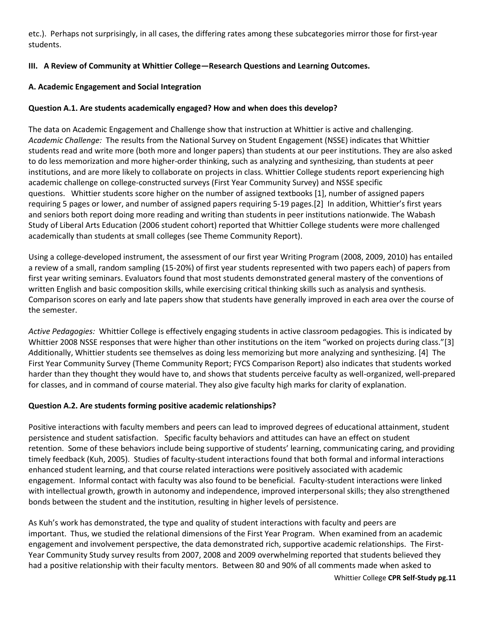etc.). Perhaps not surprisingly, in all cases, the differing rates among these subcategories mirror those for first-year students.

# **III. A Review of Community at Whittier College—Research Questions and Learning Outcomes.**

## **A. Academic Engagement and Social Integration**

## **Question A.1. Are students academically engaged? How and when does this develop?**

The data on Academic Engagement and Challenge show that instruction at Whittier is active and challenging. *Academic Challenge:* The results from the National Survey on Student Engagement (NSSE) indicates that Whittier students read and write more (both more and longer papers) than students at our peer institutions. They are also asked to do less memorization and more higher-order thinking, such as analyzing and synthesizing, than students at peer institutions, and are more likely to collaborate on projects in class. Whittier College students report experiencing high academic challenge on college-constructed surveys (First Year Community Survey) and NSSE specific questions. Whittier students score higher on the number of assigned textbooks [1], number of assigned papers requiring 5 pages or lower, and number of assigned papers requiring 5-19 pages.[2] In addition, Whittier's first years and seniors both report doing more reading and writing than students in peer institutions nationwide. The Wabash Study of Liberal Arts Education (2006 student cohort) reported that Whittier College students were more challenged academically than students at small colleges (see Theme Community Report).

Using a college-developed instrument, the assessment of our first year Writing Program (2008, 2009, 2010) has entailed a review of a small, random sampling (15-20%) of first year students represented with two papers each) of papers from first year writing seminars. Evaluators found that most students demonstrated general mastery of the conventions of written English and basic composition skills, while exercising critical thinking skills such as analysis and synthesis. Comparison scores on early and late papers show that students have generally improved in each area over the course of the semester.

*Active Pedagogies:* Whittier College is effectively engaging students in active classroom pedagogies. This is indicated by Whittier 2008 NSSE responses that were higher than other institutions on the item "worked on projects during class."[3] *A*dditionally, Whittier students see themselves as doing less memorizing but more analyzing and synthesizing. [4] The First Year Community Survey (Theme Community Report; FYCS Comparison Report) also indicates that students worked harder than they thought they would have to, and shows that students perceive faculty as well-organized, well-prepared for classes, and in command of course material. They also give faculty high marks for clarity of explanation.

### **Question A.2. Are students forming positive academic relationships?**

Positive interactions with faculty members and peers can lead to improved degrees of educational attainment, student persistence and student satisfaction. Specific faculty behaviors and attitudes can have an effect on student retention. Some of these behaviors include being supportive of students' learning, communicating caring, and providing timely feedback (Kuh, 2005). Studies of faculty-student interactions found that both formal and informal interactions enhanced student learning, and that course related interactions were positively associated with academic engagement. Informal contact with faculty was also found to be beneficial. Faculty-student interactions were linked with intellectual growth, growth in autonomy and independence, improved interpersonal skills; they also strengthened bonds between the student and the institution, resulting in higher levels of persistence.

As Kuh's work has demonstrated, the type and quality of student interactions with faculty and peers are important. Thus, we studied the relational dimensions of the First Year Program. When examined from an academic engagement and involvement perspective, the data demonstrated rich, supportive academic relationships. The First-Year Community Study survey results from 2007, 2008 and 2009 overwhelming reported that students believed they had a positive relationship with their faculty mentors. Between 80 and 90% of all comments made when asked to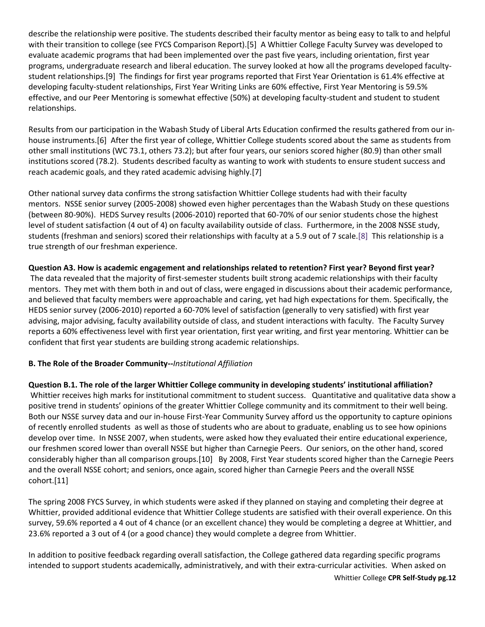describe the relationship were positive. The students described their faculty mentor as being easy to talk to and helpful with their transition to college (see FYCS Comparison Report).[5] A Whittier College Faculty Survey was developed to evaluate academic programs that had been implemented over the past five years, including orientation, first year programs, undergraduate research and liberal education. The survey looked at how all the programs developed facultystudent relationships.[9] The findings for first year programs reported that First Year Orientation is 61.4% effective at developing faculty-student relationships, First Year Writing Links are 60% effective, First Year Mentoring is 59.5% effective, and our Peer Mentoring is somewhat effective (50%) at developing faculty-student and student to student relationships.

Results from our participation in the Wabash Study of Liberal Arts Education confirmed the results gathered from our inhouse instruments.[6] After the first year of college, Whittier College students scored about the same as students from other small institutions (WC 73.1, others 73.2); but after four years, our seniors scored higher (80.9) than other small institutions scored (78.2). Students described faculty as wanting to work with students to ensure student success and reach academic goals, and they rated academic advising highly.[7]

Other national survey data confirms the strong satisfaction Whittier College students had with their faculty mentors. NSSE senior survey (2005-2008) showed even higher percentages than the Wabash Study on these questions (between 80-90%). HEDS Survey results (2006-2010) reported that 60-70% of our senior students chose the highest level of student satisfaction (4 out of 4) on faculty availability outside of class. Furthermore, in the 2008 NSSE study, students (freshman and seniors) scored their relationships with faculty at a 5.9 out of 7 scale[.\[8\]](https://whittier.compliance-assist.com/Accreditation/#_ftn9) This relationship is a true strength of our freshman experience.

# **Question A3. How is academic engagement and relationships related to retention? First year? Beyond first year?**

The data revealed that the majority of first-semester students built strong academic relationships with their faculty mentors. They met with them both in and out of class, were engaged in discussions about their academic performance, and believed that faculty members were approachable and caring, yet had high expectations for them. Specifically, the HEDS senior survey (2006-2010) reported a 60-70% level of satisfaction (generally to very satisfied) with first year advising, major advising, faculty availability outside of class, and student interactions with faculty. The Faculty Survey reports a 60% effectiveness level with first year orientation, first year writing, and first year mentoring. Whittier can be confident that first year students are building strong academic relationships.

### **B. The Role of the Broader Community--***Institutional Affiliation*

**Question B.1. The role of the larger Whittier College community in developing students' institutional affiliation?**  Whittier receives high marks for institutional commitment to student success. Quantitative and qualitative data show a positive trend in students' opinions of the greater Whittier College community and its commitment to their well being. Both our NSSE survey data and our in-house First-Year Community Survey afford us the opportunity to capture opinions of recently enrolled students as well as those of students who are about to graduate, enabling us to see how opinions develop over time. In NSSE 2007, when students, were asked how they evaluated their entire educational experience, our freshmen scored lower than overall NSSE but higher than Carnegie Peers. Our seniors, on the other hand, scored considerably higher than all comparison groups.[10] By 2008, First Year students scored higher than the Carnegie Peers and the overall NSSE cohort; and seniors, once again, scored higher than Carnegie Peers and the overall NSSE cohort.[11]

The spring 2008 FYCS Survey, in which students were asked if they planned on staying and completing their degree at Whittier, provided additional evidence that Whittier College students are satisfied with their overall experience. On this survey, 59.6% reported a 4 out of 4 chance (or an excellent chance) they would be completing a degree at Whittier, and 23.6% reported a 3 out of 4 (or a good chance) they would complete a degree from Whittier.

In addition to positive feedback regarding overall satisfaction, the College gathered data regarding specific programs intended to support students academically, administratively, and with their extra-curricular activities. When asked on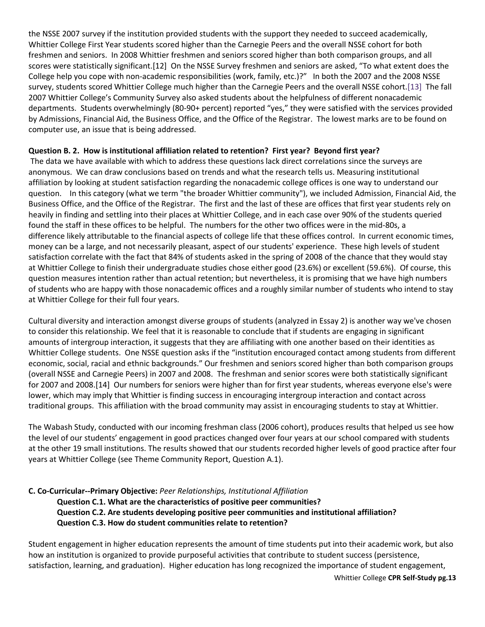the NSSE 2007 survey if the institution provided students with the support they needed to succeed academically, Whittier College First Year students scored higher than the Carnegie Peers and the overall NSSE cohort for both freshmen and seniors. In 2008 Whittier freshmen and seniors scored higher than both comparison groups, and all scores were statistically significant.[12] On the NSSE Survey freshmen and seniors are asked, "To what extent does the College help you cope with non-academic responsibilities (work, family, etc.)?" In both the 2007 and the 2008 NSSE survey, students scored Whittier College much higher than the Carnegie Peers and the overall NSSE cohort[.\[13\]](https://whittier.compliance-assist.com/Accreditation/#_ftn14) The fall 2007 Whittier College's Community Survey also asked students about the helpfulness of different nonacademic departments. Students overwhelmingly (80-90+ percent) reported "yes," they were satisfied with the services provided by Admissions, Financial Aid, the Business Office, and the Office of the Registrar. The lowest marks are to be found on computer use, an issue that is being addressed.

## **Question B. 2. How is institutional affiliation related to retention? First year? Beyond first year?**

The data we have available with which to address these questions lack direct correlations since the surveys are anonymous. We can draw conclusions based on trends and what the research tells us. Measuring institutional affiliation by looking at student satisfaction regarding the nonacademic college offices is one way to understand our question. In this category (what we term "the broader Whittier community"), we included Admission, Financial Aid, the Business Office, and the Office of the Registrar. The first and the last of these are offices that first year students rely on heavily in finding and settling into their places at Whittier College, and in each case over 90% of the students queried found the staff in these offices to be helpful. The numbers for the other two offices were in the mid-80s, a difference likely attributable to the financial aspects of college life that these offices control. In current economic times, money can be a large, and not necessarily pleasant, aspect of our students' experience. These high levels of student satisfaction correlate with the fact that 84% of students asked in the spring of 2008 of the chance that they would stay at Whittier College to finish their undergraduate studies chose either good (23.6%) or excellent (59.6%). Of course, this question measures intention rather than actual retention; but nevertheless, it is promising that we have high numbers of students who are happy with those nonacademic offices and a roughly similar number of students who intend to stay at Whittier College for their full four years.

Cultural diversity and interaction amongst diverse groups of students (analyzed in Essay 2) is another way we've chosen to consider this relationship. We feel that it is reasonable to conclude that if students are engaging in significant amounts of intergroup interaction, it suggests that they are affiliating with one another based on their identities as Whittier College students. One NSSE question asks if the "institution encouraged contact among students from different economic, social, racial and ethnic backgrounds." Our freshmen and seniors scored higher than both comparison groups (overall NSSE and Carnegie Peers) in 2007 and 2008. The freshman and senior scores were both statistically significant for 2007 and 2008.[14] Our numbers for seniors were higher than for first year students, whereas everyone else's were lower, which may imply that Whittier is finding success in encouraging intergroup interaction and contact across traditional groups. This affiliation with the broad community may assist in encouraging students to stay at Whittier.

The Wabash Study, conducted with our incoming freshman class (2006 cohort), produces results that helped us see how the level of our students' engagement in good practices changed over four years at our school compared with students at the other 19 small institutions. The results showed that our students recorded higher levels of good practice after four years at Whittier College (see Theme Community Report, Question A.1).

### **C. Co-Curricular--Primary Objective:** *Peer Relationships, Institutional Affiliation*

**Question C.1. What are the characteristics of positive peer communities? Question C.2. Are students developing positive peer communities and institutional affiliation? Question C.3. How do student communities relate to retention?** 

Student engagement in higher education represents the amount of time students put into their academic work, but also how an institution is organized to provide purposeful activities that contribute to student success (persistence, satisfaction, learning, and graduation). Higher education has long recognized the importance of student engagement,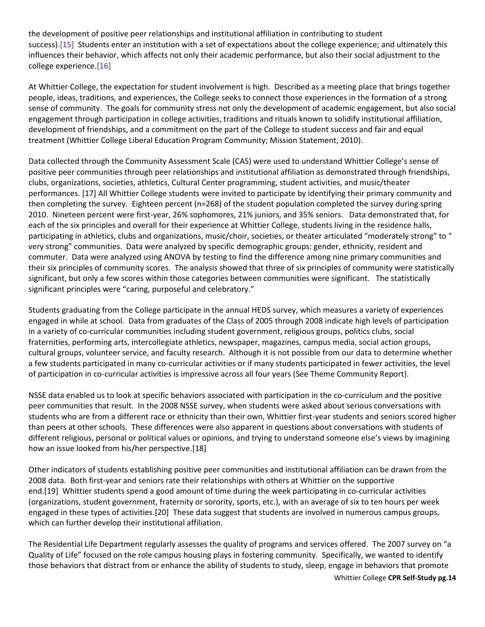the development of positive peer relationships and institutional affiliation in contributing to student success)[.\[15\]](https://whittier.compliance-assist.com/Accreditation/#_ftn16) Students enter an institution with a set of expectations about the college experience; and ultimately this influences their behavior, which affects not only their academic performance, but also their social adjustment to the college experience[.\[16\]](https://whittier.compliance-assist.com/Accreditation/#_ftn17)

At Whittier College, the expectation for student involvement is high. Described as a meeting place that brings together people, ideas, traditions, and experiences, the College seeks to connect those experiences in the formation of a strong sense of community. The goals for community stress not only the development of academic engagement, but also social engagement through participation in college activities, traditions and rituals known to solidify institutional affiliation, development of friendships, and a commitment on the part of the College to student success and fair and equal treatment (Whittier College Liberal Education Program Community; Mission Statement, 2010).

Data collected through the Community Assessment Scale (CAS) were used to understand Whittier College's sense of positive peer communities through peer relationships and institutional affiliation as demonstrated through friendships, clubs, organizations, societies, athletics, Cultural Center programming, student activities, and music/theater performances. [17] All Whittier College students were invited to participate by identifying their primary community and then completing the survey. Eighteen percent (n=268) of the student population completed the survey during spring 2010. Nineteen percent were first-year, 26% sophomores, 21% juniors, and 35% seniors. Data demonstrated that, for each of the six principles and overall for their experience at Whittier College, students living in the residence halls, participating in athletics, clubs and organizations, music/choir, societies, or theater articulated "moderately strong" to " very strong" communities. Data were analyzed by specific demographic groups: gender, ethnicity, resident and commuter. Data were analyzed using ANOVA by testing to find the difference among nine primary communities and their six principles of community scores. The analysis showed that three of six principles of community were statistically significant, but only a few scores within those categories between communities were significant. The statistically significant principles were "caring, purposeful and celebratory."

Students graduating from the College participate in the annual HEDS survey, which measures a variety of experiences engaged in while at school. Data from graduates of the Class of 2005 through 2008 indicate high levels of participation in a variety of co-curricular communities including student government, religious groups, politics clubs, social fraternities, performing arts, intercollegiate athletics, newspaper, magazines, campus media, social action groups, cultural groups, volunteer service, and faculty research. Although it is not possible from our data to determine whether a few students participated in many co-curricular activities or if many students participated in fewer activities, the level of participation in co-curricular activities is impressive across all four years (See Theme Community Report).

NSSE data enabled us to look at specific behaviors associated with participation in the co-curriculum and the positive peer communities that result. In the 2008 NSSE survey, when students were asked about serious conversations with students who are from a different race or ethnicity than their own, Whittier first-year students and seniors scored higher than peers at other schools. These differences were also apparent in questions about conversations with students of different religious, personal or political values or opinions, and trying to understand someone else's views by imagining how an issue looked from his/her perspective.[18]

Other indicators of students establishing positive peer communities and institutional affiliation can be drawn from the 2008 data. Both first-year and seniors rate their relationships with others at Whittier on the supportive end.[19] Whittier students spend a good amount of time during the week participating in co-curricular activities (organizations, student government, fraternity or sorority, sports, etc.), with an average of six to ten hours per week engaged in these types of activities.[20] These data suggest that students are involved in numerous campus groups, which can further develop their institutional affiliation.

The Residential Life Department regularly assesses the quality of programs and services offered. The 2007 survey on "a Quality of Life" focused on the role campus housing plays in fostering community. Specifically, we wanted to identify those behaviors that distract from or enhance the ability of students to study, sleep, engage in behaviors that promote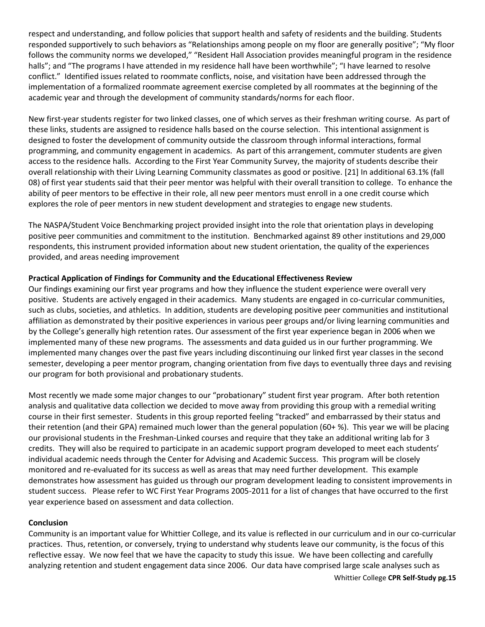respect and understanding, and follow policies that support health and safety of residents and the building. Students responded supportively to such behaviors as "Relationships among people on my floor are generally positive"; "My floor follows the community norms we developed," "Resident Hall Association provides meaningful program in the residence halls"; and "The programs I have attended in my residence hall have been worthwhile"; "I have learned to resolve conflict." Identified issues related to roommate conflicts, noise, and visitation have been addressed through the implementation of a formalized roommate agreement exercise completed by all roommates at the beginning of the academic year and through the development of community standards/norms for each floor.

New first-year students register for two linked classes, one of which serves as their freshman writing course. As part of these links, students are assigned to residence halls based on the course selection. This intentional assignment is designed to foster the development of community outside the classroom through informal interactions, formal programming, and community engagement in academics. As part of this arrangement, commuter students are given access to the residence halls. According to the First Year Community Survey, the majority of students describe their overall relationship with their Living Learning Community classmates as good or positive. [21] In additional 63.1% (fall 08) of first year students said that their peer mentor was helpful with their overall transition to college. To enhance the ability of peer mentors to be effective in their role, all new peer mentors must enroll in a one credit course which explores the role of peer mentors in new student development and strategies to engage new students.

The NASPA/Student Voice Benchmarking project provided insight into the role that orientation plays in developing positive peer communities and commitment to the institution. Benchmarked against 89 other institutions and 29,000 respondents, this instrument provided information about new student orientation, the quality of the experiences provided, and areas needing improvement

## **Practical Application of Findings for Community and the Educational Effectiveness Review**

Our findings examining our first year programs and how they influence the student experience were overall very positive. Students are actively engaged in their academics. Many students are engaged in co-curricular communities, such as clubs, societies, and athletics. In addition, students are developing positive peer communities and institutional affiliation as demonstrated by their positive experiences in various peer groups and/or living learning communities and by the College's generally high retention rates. Our assessment of the first year experience began in 2006 when we implemented many of these new programs. The assessments and data guided us in our further programming. We implemented many changes over the past five years including discontinuing our linked first year classes in the second semester, developing a peer mentor program, changing orientation from five days to eventually three days and revising our program for both provisional and probationary students.

Most recently we made some major changes to our "probationary" student first year program. After both retention analysis and qualitative data collection we decided to move away from providing this group with a remedial writing course in their first semester. Students in this group reported feeling "tracked" and embarrassed by their status and their retention (and their GPA) remained much lower than the general population (60+ %). This year we will be placing our provisional students in the Freshman-Linked courses and require that they take an additional writing lab for 3 credits. They will also be required to participate in an academic support program developed to meet each students' individual academic needs through the Center for Advising and Academic Success. This program will be closely monitored and re-evaluated for its success as well as areas that may need further development. This example demonstrates how assessment has guided us through our program development leading to consistent improvements in student success. Please refer to WC First Year Programs 2005-2011 for a list of changes that have occurred to the first year experience based on assessment and data collection.

### **Conclusion**

Community is an important value for Whittier College, and its value is reflected in our curriculum and in our co-curricular practices. Thus, retention, or conversely, trying to understand why students leave our community, is the focus of this reflective essay. We now feel that we have the capacity to study this issue. We have been collecting and carefully analyzing retention and student engagement data since 2006. Our data have comprised large scale analyses such as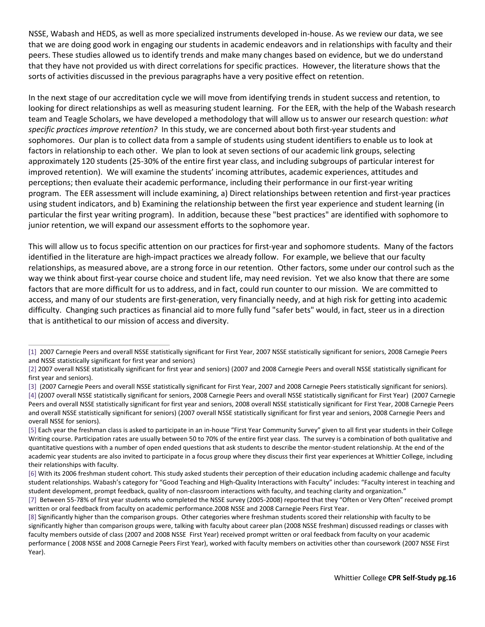NSSE, Wabash and HEDS, as well as more specialized instruments developed in-house. As we review our data, we see that we are doing good work in engaging our students in academic endeavors and in relationships with faculty and their peers. These studies allowed us to identify trends and make many changes based on evidence, but we do understand that they have not provided us with direct correlations for specific practices. However, the literature shows that the sorts of activities discussed in the previous paragraphs have a very positive effect on retention.

In the next stage of our accreditation cycle we will move from identifying trends in student success and retention, to looking for direct relationships as well as measuring student learning. For the EER, with the help of the Wabash research team and Teagle Scholars, we have developed a methodology that will allow us to answer our research question: *what specific practices improve retention?* In this study, we are concerned about both first-year students and sophomores. Our plan is to collect data from a sample of students using student identifiers to enable us to look at factors in relationship to each other. We plan to look at seven sections of our academic link groups, selecting approximately 120 students (25-30% of the entire first year class, and including subgroups of particular interest for improved retention). We will examine the students' incoming attributes, academic experiences, attitudes and perceptions; then evaluate their academic performance, including their performance in our first-year writing program. The EER assessment will include examining, a) Direct relationships between retention and first-year practices using student indicators, and b) Examining the relationship between the first year experience and student learning (in particular the first year writing program). In addition, because these "best practices" are identified with sophomore to junior retention, we will expand our assessment efforts to the sophomore year.

This will allow us to focus specific attention on our practices for first-year and sophomore students. Many of the factors identified in the literature are high-impact practices we already follow. For example, we believe that our faculty relationships, as measured above, are a strong force in our retention. Other factors, some under our control such as the way we think about first-year course choice and student life, may need revision. Yet we also know that there are some factors that are more difficult for us to address, and in fact, could run counter to our mission. We are committed to access, and many of our students are first-generation, very financially needy, and at high risk for getting into academic difficulty. Changing such practices as financial aid to more fully fund "safer bets" would, in fact, steer us in a direction that is antithetical to our mission of access and diversity.

[<sup>\[1\]</sup>](https://whittier.compliance-assist.com/Accreditation/#_ftnref1) 2007 Carnegie Peers and overall NSSE statistically significant for First Year, 2007 NSSE statistically significant for seniors, 2008 Carnegie Peers and NSSE statistically significant for first year and seniors)

[<sup>\[2\]</sup>](https://whittier.compliance-assist.com/Accreditation/#_ftnref2) 2007 overall NSSE statistically significant for first year and seniors) (2007 and 2008 Carnegie Peers and overall NSSE statistically significant for first year and seniors).

[<sup>\[3\]</sup>](https://whittier.compliance-assist.com/Accreditation/#_ftnref3) (2007 Carnegie Peers and overall NSSE statistically significant for First Year, 2007 and 2008 Carnegie Peers statistically significant for seniors). [\[4\]](https://whittier.compliance-assist.com/Accreditation/#_ftnref4) (2007 overall NSSE statistically significant for seniors, 2008 Carnegie Peers and overall NSSE statistically significant for First Year) (2007 Carnegie Peers and overall NSSE statistically significant for first year and seniors, 2008 overall NSSE statistically significant for First Year, 2008 Carnegie Peers and overall NSSE statistically significant for seniors) (2007 overall NSSE statistically significant for first year and seniors, 2008 Carnegie Peers and overall NSSE for seniors).

[<sup>\[5\]</sup>](https://whittier.compliance-assist.com/Accreditation/#_ftnref6) Each year the freshman class is asked to participate in an in-house "First Year Community Survey" given to all first year students in their College Writing course. Participation rates are usually between 50 to 70% of the entire first year class. The survey is a combination of both qualitative and quantitative questions with a number of open ended questions that ask students to describe the mentor-student relationship. At the end of the academic year students are also invited to participate in a focus group where they discuss their first year experiences at Whittier College, including their relationships with faculty.

[<sup>\[6\]</sup>](https://whittier.compliance-assist.com/Accreditation/#_ftnref7) With its 2006 freshman student cohort. This study asked students their perception of their education including academic challenge and faculty student relationships. Wabash's category for "Good Teaching and High-Quality Interactions with Faculty" includes: "Faculty interest in teaching and student development, prompt feedback, quality of non-classroom interactions with faculty, and teaching clarity and organization."

[<sup>\[7\]</sup>](https://whittier.compliance-assist.com/Accreditation/#_ftnref8) Between 55-78% of first year students who completed the NSSE survey (2005-2008) reported that they "Often or Very Often" received prompt written or oral feedback from faculty on academic performance.2008 NSSE and 2008 Carnegie Peers First Year.

[<sup>\[8\]</sup>](https://whittier.compliance-assist.com/Accreditation/#_ftnref9) Significantly higher than the comparison groups. Other categories where freshman students scored their relationship with faculty to be significantly higher than comparison groups were, talking with faculty about career plan (2008 NSSE freshman) discussed readings or classes with faculty members outside of class (2007 and 2008 NSSE First Year) received prompt written or oral feedback from faculty on your academic performance ( 2008 NSSE and 2008 Carnegie Peers First Year), worked with faculty members on activities other than coursework (2007 NSSE First Year).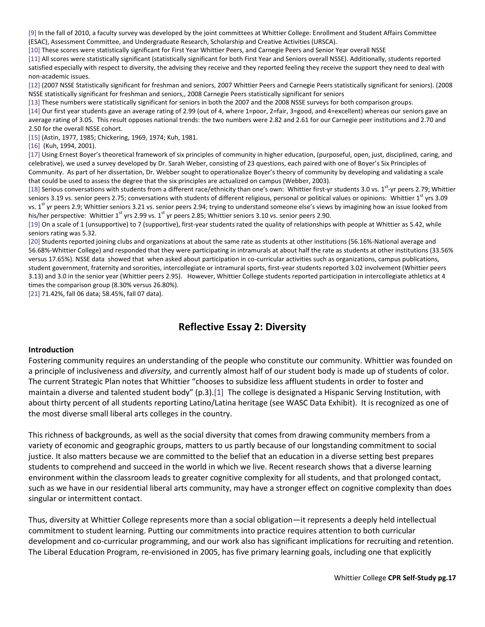[\[9\]](https://whittier.compliance-assist.com/Accreditation/#_ftnref10) In the fall of 2010, a faculty survey was developed by the joint committees at Whittier College: Enrollment and Student Affairs Committee (ESAC), Assessment Committee, and Undergraduate Research, Scholarship and Creative Activities (URSCA).

[\[10\]](https://whittier.compliance-assist.com/Accreditation/#_ftnref11) These scores were statistically significant for First Year Whittier Peers, and Carnegie Peers and Senior Year overall NSSE

[\[11\]](https://whittier.compliance-assist.com/Accreditation/#_ftnref12) All scores were statistically significant (statistically significant for both First Year and Seniors overall NSSE). Additionally, students reported satisfied especially with respect to diversity, the advising they receive and they reported feeling they receive the support they need to deal with non-academic issues.

[\[12\]](https://whittier.compliance-assist.com/Accreditation/#_ftnref13) (2007 NSSE Statistically significant for freshman and seniors, 2007 Whittier Peers and Carnegie Peers statistically significant for seniors). (2008 NSSE statistically significant for freshman and seniors,, 2008 Carnegie Peers statistically significant for seniors

[\[13\]](https://whittier.compliance-assist.com/Accreditation/#_ftnref14) These numbers were statistically significant for seniors in both the 2007 and the 2008 NSSE surveys for both comparison groups. [\[14\]](https://whittier.compliance-assist.com/Accreditation/#_ftnref15) Our first year students gave an average rating of 2.99 (out of 4, where 1=poor, 2=fair, 3=good, and 4=excellent) whereas our seniors gave an average rating of 3.05. This result opposes national trends: the two numbers were 2.82 and 2.61 for our Carnegie peer institutions and 2.70 and 2.50 for the overall NSSE cohort.

[\[15\]](https://whittier.compliance-assist.com/Accreditation/#_ftnref16) (Astin, 1977, 1985; Chickering, 1969, 1974; Kuh, 1981.

[\[16\]](https://whittier.compliance-assist.com/Accreditation/#_ftnref17) (Kuh, 1994, 2001).

[\[17\]](https://whittier.compliance-assist.com/Accreditation/#_ftnref18) Using Ernest Boyer's theoretical framework of six principles of community in higher education, (purposeful, open, just, disciplined, caring, and celebrative), we used a survey developed by Dr. Sarah Weber, consisting of 23 questions, each paired with one of Boyer's Six Principles of Community. As part of her dissertation, Dr. Webber sought to operationalize Boyer's theory of community by developing and validating a scale that could be used to assess the degree that the six principles are actualized on campus (Webber, 2003).

[\[18\]](https://whittier.compliance-assist.com/Accreditation/#_ftnref19) Serious conversations with students from a different race/ethnicity than one's own: Whittier first-yr students 3.0 vs. 1<sup>st</sup>-yr peers 2.79; Whittier seniors 3.19 vs. senior peers 2.75; conversations with students of different religious, personal or political values or opinions: Whittier  $1<sup>st</sup>$  yrs 3.09 vs. 1<sup>st</sup> yr peers 2.9; Whittier seniors 3.21 vs. senior peers 2.94; trying to understand someone else's views by imagining how an issue looked from his/her perspective: Whittier 1<sup>st</sup> yrs 2.99 vs. 1<sup>st</sup> yr peers 2.85; Whittier seniors 3.10 vs. senior peers 2.90.

[\[19\]](https://whittier.compliance-assist.com/Accreditation/#_ftnref20) On a scale of 1 (unsupportive) to 7 (supportive), first-year students rated the quality of relationships with people at Whittier as 5.42, while seniors rating was 5.32.

[\[20\]](https://whittier.compliance-assist.com/Accreditation/#_ftnref21) Students reported joining clubs and organizations at about the same rate as students at other institutions (56.16%-National average and 56.68%-Whittier College) and responded that they were participating in intramurals at about half the rate as students at other institutions (33.56% versus 17.65%). NSSE data showed that when asked about participation in co-curricular activities such as organizations, campus publications, student government, fraternity and sororities, intercollegiate or intramural sports, first-year students reported 3.02 involvement (Whittier peers 3.13) and 3.0 in the senior year (Whittier peers 2.95). However, Whittier College students reported participation in intercollegiate athletics at 4 times the comparison group (8.30% versus 26.80%).

[\[21\]](https://whittier.compliance-assist.com/Accreditation/#_ftnref22) 71.42%, fall 06 data; 58.45%, fall 07 data).

# **Reflective Essay 2: Diversity**

#### **Introduction**

Fostering community requires an understanding of the people who constitute our community. Whittier was founded on a principle of inclusiveness and *diversity,* and currently almost half of our student body is made up of students of color. The current Strategic Plan notes that Whittier "chooses to subsidize less affluent students in order to foster and maintain a diverse and talented student body" (p.3).<sup>[\[1\]](https://whittier.compliance-assist.com/Accreditation/#_ftn1)</sup> The college is designated a Hispanic Serving Institution, with about thirty percent of all students reporting Latino/Latina heritage (see WASC Data Exhibit). It is recognized as one of the most diverse small liberal arts colleges in the country.

This richness of backgrounds, as well as the social diversity that comes from drawing community members from a variety of economic and geographic groups, matters to us partly because of our longstanding commitment to social justice. It also matters because we are committed to the belief that an education in a diverse setting best prepares students to comprehend and succeed in the world in which we live. Recent research shows that a diverse learning environment within the classroom leads to greater cognitive complexity for all students, and that prolonged contact, such as we have in our residential liberal arts community, may have a stronger effect on cognitive complexity than does singular or intermittent contact.

Thus, diversity at Whittier College represents more than a social obligation—it represents a deeply held intellectual commitment to student learning. Putting our commitments into practice requires attention to both curricular development and co-curricular programming, and our work also has significant implications for recruiting and retention. The Liberal Education Program, re-envisioned in 2005, has five primary learning goals, including one that explicitly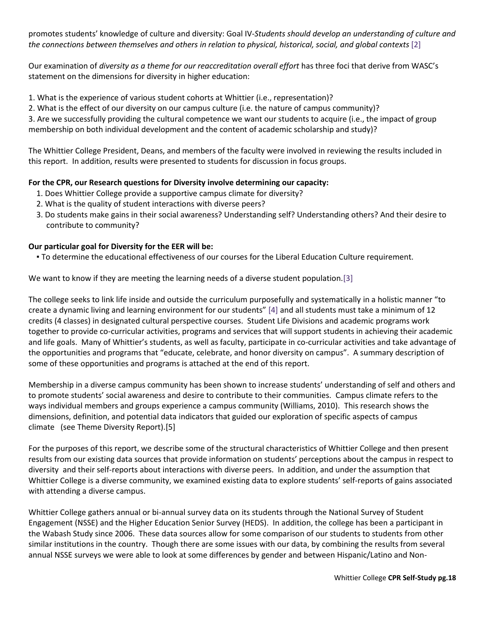promotes students' knowledge of culture and diversity: Goal IV-*Students should develop an understanding of culture and the connections between themselves and others in relation to physical, historical, social, and global contexts* [\[2\]](https://whittier.compliance-assist.com/Accreditation/#_ftn2)

Our examination of *diversity as a theme for our reaccreditation overall effort* has three foci that derive from WASC's statement on the dimensions for diversity in higher education:

1. What is the experience of various student cohorts at Whittier (i.e., representation)?

2. What is the effect of our diversity on our campus culture (i.e. the nature of campus community)?

3. Are we successfully providing the cultural competence we want our students to acquire (i.e., the impact of group membership on both individual development and the content of academic scholarship and study)?

The Whittier College President, Deans, and members of the faculty were involved in reviewing the results included in this report. In addition, results were presented to students for discussion in focus groups.

# **For the CPR, our Research questions for Diversity involve determining our capacity:**

- 1. Does Whittier College provide a supportive campus climate for diversity?
- 2. What is the quality of student interactions with diverse peers?
- 3. Do students make gains in their social awareness? Understanding self? Understanding others? And their desire to contribute to community?

### **Our particular goal for Diversity for the EER will be:**

▪ To determine the educational effectiveness of our courses for the Liberal Education Culture requirement.

We want to know if they are meeting the learning needs of a diverse student population[.\[3\]](https://whittier.compliance-assist.com/Accreditation/#_ftn3) 

The college seeks to link life inside and outside the curriculum purposefully and systematically in a holistic manner "to create a dynamic living and learning environment for our students" [\[4\]](https://whittier.compliance-assist.com/Accreditation/#_ftn4) and all students must take a minimum of 12 credits (4 classes) in designated cultural perspective courses. Student Life Divisions and academic programs work together to provide co-curricular activities, programs and services that will support students in achieving their academic and life goals. Many of Whittier's students, as well as faculty, participate in co-curricular activities and take advantage of the opportunities and programs that "educate, celebrate, and honor diversity on campus". A summary description of some of these opportunities and programs is attached at the end of this report.

Membership in a diverse campus community has been shown to increase students' understanding of self and others and to promote students' social awareness and desire to contribute to their communities. Campus climate refers to the ways individual members and groups experience a campus community (Williams, 2010). This research shows the dimensions, definition, and potential data indicators that guided our exploration of specific aspects of campus climate (see Theme Diversity Report).[5]

For the purposes of this report, we describe some of the structural characteristics of Whittier College and then present results from our existing data sources that provide information on students' perceptions about the campus in respect to diversity and their self-reports about interactions with diverse peers. In addition, and under the assumption that Whittier College is a diverse community, we examined existing data to explore students' self-reports of gains associated with attending a diverse campus.

Whittier College gathers annual or bi-annual survey data on its students through the National Survey of Student Engagement (NSSE) and the Higher Education Senior Survey (HEDS). In addition, the college has been a participant in the Wabash Study since 2006. These data sources allow for some comparison of our students to students from other similar institutions in the country. Though there are some issues with our data, by combining the results from several annual NSSE surveys we were able to look at some differences by gender and between Hispanic/Latino and Non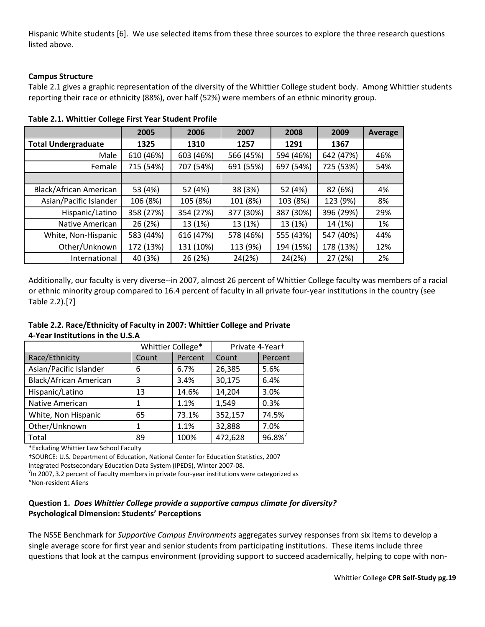Hispanic White students [6]. We use selected items from these three sources to explore the three research questions listed above.

# **Campus Structure**

Table 2.1 gives a graphic representation of the diversity of the Whittier College student body. Among Whittier students reporting their race or ethnicity (88%), over half (52%) were members of an ethnic minority group.

|                            | 2005      | 2006      | 2007      | 2008      | 2009      | <b>Average</b> |
|----------------------------|-----------|-----------|-----------|-----------|-----------|----------------|
| <b>Total Undergraduate</b> | 1325      | 1310      | 1257      | 1291      | 1367      |                |
| Male                       | 610 (46%) | 603 (46%) | 566 (45%) | 594 (46%) | 642 (47%) | 46%            |
| Female                     | 715 (54%) | 707 (54%) | 691 (55%) | 697 (54%) | 725 (53%) | 54%            |
|                            |           |           |           |           |           |                |
| Black/African American     | 53 (4%)   | 52 (4%)   | 38 (3%)   | 52 (4%)   | 82 (6%)   | 4%             |
| Asian/Pacific Islander     | 106 (8%)  | 105 (8%)  | 101 (8%)  | 103 (8%)  | 123 (9%)  | 8%             |
| Hispanic/Latino            | 358 (27%) | 354 (27%) | 377 (30%) | 387 (30%) | 396 (29%) | 29%            |
| Native American            | 26 (2%)   | 13 (1%)   | 13 (1%)   | 13 (1%)   | 14 (1%)   | 1%             |
| White, Non-Hispanic        | 583 (44%) | 616 (47%) | 578 (46%) | 555 (43%) | 547 (40%) | 44%            |
| Other/Unknown              | 172 (13%) | 131 (10%) | 113 (9%)  | 194 (15%) | 178 (13%) | 12%            |
| International              | 40 (3%)   | 26 (2%)   | 24(2%)    | 24(2%)    | 27 (2%)   | 2%             |

**Table 2.1. Whittier College First Year Student Profile**

Additionally, our faculty is very diverse--in 2007, almost 26 percent of Whittier College faculty was members of a racial or ethnic minority group compared to 16.4 percent of faculty in all private four-year institutions in the country (see Table 2.2).[7]

| Table 2.2. Race/Ethnicity of Faculty in 2007: Whittier College and Private |
|----------------------------------------------------------------------------|
| 4-Year Institutions in the U.S.A                                           |

|                        | Whittier College* |         | Private 4-Yeart |          |  |
|------------------------|-------------------|---------|-----------------|----------|--|
| Race/Ethnicity         | Count             | Percent | Count           | Percent  |  |
| Asian/Pacific Islander | 6                 | 6.7%    | 26,385          | 5.6%     |  |
| Black/African American | 3                 | 3.4%    | 30,175          | 6.4%     |  |
| Hispanic/Latino        | 13                | 14.6%   | 14,204          | 3.0%     |  |
| Native American        | 1                 | 1.1%    | 1,549           | 0.3%     |  |
| White, Non Hispanic    | 65                | 73.1%   | 352,157         | 74.5%    |  |
| Other/Unknown          | 1                 | 1.1%    | 32,888          | 7.0%     |  |
| Total                  | 89                | 100%    | 472,628         | $96.8\%$ |  |

\*Excluding Whittier Law School Faculty

†SOURCE: U.S. Department of Education, National Center for Education Statistics, 2007 Integrated Postsecondary Education Data System (IPEDS), Winter 2007-08.

√ In 2007, 3.2 percent of Faculty members in private four-year institutions were categorized as "Non-resident Aliens

## **Question 1.** *Does Whittier College provide a supportive campus climate for diversity?* **Psychological Dimension: Students' Perceptions**

The NSSE Benchmark for *Supportive Campus Environments* aggregates survey responses from six items to develop a single average score for first year and senior students from participating institutions. These items include three questions that look at the campus environment (providing support to succeed academically, helping to cope with non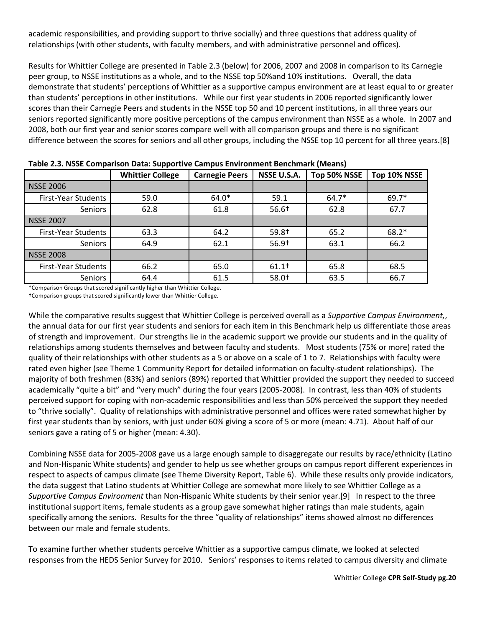academic responsibilities, and providing support to thrive socially) and three questions that address quality of relationships (with other students, with faculty members, and with administrative personnel and offices).

Results for Whittier College are presented in Table 2.3 (below) for 2006, 2007 and 2008 in comparison to its Carnegie peer group, to NSSE institutions as a whole, and to the NSSE top 50%and 10% institutions. Overall, the data demonstrate that students' perceptions of Whittier as a supportive campus environment are at least equal to or greater than students' perceptions in other institutions. While our first year students in 2006 reported significantly lower scores than their Carnegie Peers and students in the NSSE top 50 and 10 percent institutions, in all three years our seniors reported significantly more positive perceptions of the campus environment than NSSE as a whole. In 2007 and 2008, both our first year and senior scores compare well with all comparison groups and there is no significant difference between the scores for seniors and all other groups, including the NSSE top 10 percent for all three years.[8]

| rable 2.5. NSSE Comparison Data. Supportive Campus Environment Bentinnark (ividans) |                         |                                      |                   |              |              |  |  |  |  |
|-------------------------------------------------------------------------------------|-------------------------|--------------------------------------|-------------------|--------------|--------------|--|--|--|--|
|                                                                                     | <b>Whittier College</b> | <b>Carnegie Peers</b><br>NSSE U.S.A. |                   | Top 50% NSSE | Top 10% NSSE |  |  |  |  |
| <b>NSSE 2006</b>                                                                    |                         |                                      |                   |              |              |  |  |  |  |
| First-Year Students                                                                 | 59.0                    | $64.0*$                              | 59.1              | $64.7*$      | 69.7*        |  |  |  |  |
| Seniors                                                                             | 62.8                    | 61.8                                 | $56.6+$           | 62.8         | 67.7         |  |  |  |  |
| <b>NSSE 2007</b>                                                                    |                         |                                      |                   |              |              |  |  |  |  |
| <b>First-Year Students</b>                                                          | 63.3                    | 64.2                                 | 59.8+             | 65.2         | $68.2*$      |  |  |  |  |
| <b>Seniors</b>                                                                      | 64.9                    | 62.1                                 | $56.9+$           | 63.1         | 66.2         |  |  |  |  |
| <b>NSSE 2008</b>                                                                    |                         |                                      |                   |              |              |  |  |  |  |
| First-Year Students                                                                 | 66.2                    | 65.0                                 | 61.1 <sup>†</sup> | 65.8         | 68.5         |  |  |  |  |
| Seniors                                                                             | 64.4                    | 61.5                                 | $58.0+$           | 63.5         | 66.7         |  |  |  |  |

**Table 2.3. NSSE Comparison Data: Supportive Campus Environment Benchmark (Means)**

\*Comparison Groups that scored significantly higher than Whittier College. †Comparison groups that scored significantly lower than Whittier College.

While the comparative results suggest that Whittier College is perceived overall as a *Supportive Campus Environment,*, the annual data for our first year students and seniors for each item in this Benchmark help us differentiate those areas of strength and improvement. Our strengths lie in the academic support we provide our students and in the quality of relationships among students themselves and between faculty and students. Most students (75% or more) rated the quality of their relationships with other students as a 5 or above on a scale of 1 to 7. Relationships with faculty were rated even higher (see Theme 1 Community Report for detailed information on faculty-student relationships). The majority of both freshmen (83%) and seniors (89%) reported that Whittier provided the support they needed to succeed academically "quite a bit" and "very much" during the four years (2005-2008). In contrast, less than 40% of students perceived support for coping with non-academic responsibilities and less than 50% perceived the support they needed to "thrive socially". Quality of relationships with administrative personnel and offices were rated somewhat higher by first year students than by seniors, with just under 60% giving a score of 5 or more (mean: 4.71). About half of our seniors gave a rating of 5 or higher (mean: 4.30).

Combining NSSE data for 2005-2008 gave us a large enough sample to disaggregate our results by race/ethnicity (Latino and Non-Hispanic White students) and gender to help us see whether groups on campus report different experiences in respect to aspects of campus climate (see Theme Diversity Report, Table 6). While these results only provide indicators, the data suggest that Latino students at Whittier College are somewhat more likely to see Whittier College as a *Supportive Campus Environment* than Non-Hispanic White students by their senior year.[9] In respect to the three institutional support items, female students as a group gave somewhat higher ratings than male students, again specifically among the seniors. Results for the three "quality of relationships" items showed almost no differences between our male and female students.

To examine further whether students perceive Whittier as a supportive campus climate, we looked at selected responses from the HEDS Senior Survey for 2010. Seniors' responses to items related to campus diversity and climate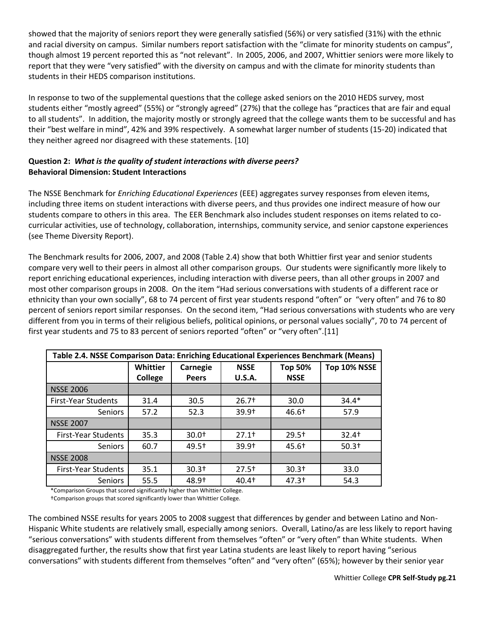showed that the majority of seniors report they were generally satisfied (56%) or very satisfied (31%) with the ethnic and racial diversity on campus. Similar numbers report satisfaction with the "climate for minority students on campus", though almost 19 percent reported this as "not relevant". In 2005, 2006, and 2007, Whittier seniors were more likely to report that they were "very satisfied" with the diversity on campus and with the climate for minority students than students in their HEDS comparison institutions.

In response to two of the supplemental questions that the college asked seniors on the 2010 HEDS survey, most students either "mostly agreed" (55%) or "strongly agreed" (27%) that the college has "practices that are fair and equal to all students". In addition, the majority mostly or strongly agreed that the college wants them to be successful and has their "best welfare in mind", 42% and 39% respectively. A somewhat larger number of students (15-20) indicated that they neither agreed nor disagreed with these statements. [10]

# **Question 2:** *What is the quality of student interactions with diverse peers?* **Behavioral Dimension: Student Interactions**

The NSSE Benchmark for *Enriching Educational Experiences* (EEE) aggregates survey responses from eleven items, including three items on student interactions with diverse peers, and thus provides one indirect measure of how our students compare to others in this area. The EER Benchmark also includes student responses on items related to cocurricular activities, use of technology, collaboration, internships, community service, and senior capstone experiences (see Theme Diversity Report).

The Benchmark results for 2006, 2007, and 2008 (Table 2.4) show that both Whittier first year and senior students compare very well to their peers in almost all other comparison groups. Our students were significantly more likely to report enriching educational experiences, including interaction with diverse peers, than all other groups in 2007 and most other comparison groups in 2008. On the item "Had serious conversations with students of a different race or ethnicity than your own socially", 68 to 74 percent of first year students respond "often" or "very often" and 76 to 80 percent of seniors report similar responses. On the second item, "Had serious conversations with students who are very different from you in terms of their religious beliefs, political opinions, or personal values socially", 70 to 74 percent of first year students and 75 to 83 percent of seniors reported "often" or "very often".[11]

| Table 2.4. NSSE Comparison Data: Enriching Educational Experiences Benchmark (Means) |                |              |                   |                   |              |  |  |  |
|--------------------------------------------------------------------------------------|----------------|--------------|-------------------|-------------------|--------------|--|--|--|
|                                                                                      | Whittier       | Carnegie     | <b>NSSE</b>       | <b>Top 50%</b>    | Top 10% NSSE |  |  |  |
|                                                                                      | <b>College</b> | <b>Peers</b> | <b>U.S.A.</b>     | <b>NSSE</b>       |              |  |  |  |
| <b>NSSE 2006</b>                                                                     |                |              |                   |                   |              |  |  |  |
| <b>First-Year Students</b>                                                           | 31.4           | 30.5         | $26.7+$           | 30.0              | $34.4*$      |  |  |  |
| <b>Seniors</b>                                                                       | 57.2           | 52.3         | $39.9+$           | 46.6 <sup>†</sup> | 57.9         |  |  |  |
| <b>NSSE 2007</b>                                                                     |                |              |                   |                   |              |  |  |  |
| <b>First-Year Students</b>                                                           | 35.3           | $30.0+$      | $27.1+$           | $29.5+$           | $32.4+$      |  |  |  |
| <b>Seniors</b>                                                                       | 60.7           | $49.5+$      | $39.9+$           | 45.6†             | $50.3+$      |  |  |  |
| <b>NSSE 2008</b>                                                                     |                |              |                   |                   |              |  |  |  |
| <b>First-Year Students</b>                                                           | 35.1           | $30.3+$      | $27.5+$           | $30.3+$           | 33.0         |  |  |  |
| <b>Seniors</b>                                                                       | 55.5           | 48.9†        | 40.4 <sup>†</sup> | 47.3 <sup>†</sup> | 54.3         |  |  |  |

\*Comparison Groups that scored significantly higher than Whittier College.

†Comparison groups that scored significantly lower than Whittier College.

The combined NSSE results for years 2005 to 2008 suggest that differences by gender and between Latino and Non-Hispanic White students are relatively small, especially among seniors. Overall, Latino/as are less likely to report having "serious conversations" with students different from themselves "often" or "very often" than White students. When disaggregated further, the results show that first year Latina students are least likely to report having "serious conversations" with students different from themselves "often" and "very often" (65%); however by their senior year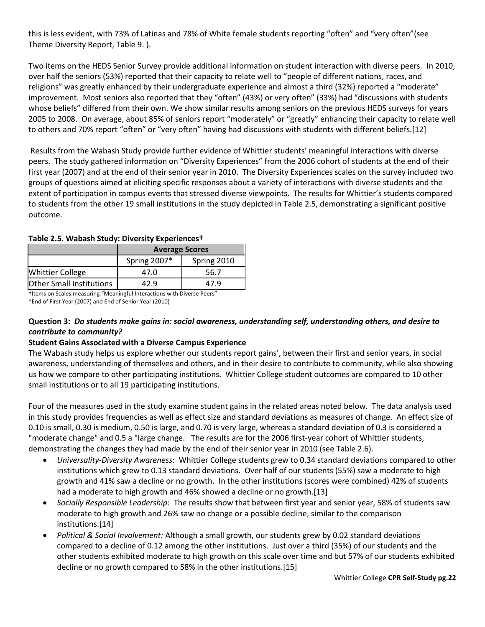this is less evident, with 73% of Latinas and 78% of White female students reporting "often" and "very often"(see Theme Diversity Report, Table 9. ).

Two items on the HEDS Senior Survey provide additional information on student interaction with diverse peers. In 2010, over half the seniors (53%) reported that their capacity to relate well to "people of different nations, races, and religions" was greatly enhanced by their undergraduate experience and almost a third (32%) reported a "moderate" improvement. Most seniors also reported that they "often" (43%) or very often" (33%) had "discussions with students whose beliefs" differed from their own. We show similar results among seniors on the previous HEDS surveys for years 2005 to 2008. On average, about 85% of seniors report "moderately" or "greatly" enhancing their capacity to relate well to others and 70% report "often" or "very often" having had discussions with students with different beliefs.[12]

Results from the Wabash Study provide further evidence of Whittier students' meaningful interactions with diverse peers. The study gathered information on "Diversity Experiences" from the 2006 cohort of students at the end of their first year (2007) and at the end of their senior year in 2010. The Diversity Experiences scales on the survey included two groups of questions aimed at eliciting specific responses about a variety of interactions with diverse students and the extent of participation in campus events that stressed diverse viewpoints. The results for Whittier's students compared to students from the other 19 small institutions in the study depicted in Table 2.5, demonstrating a significant positive outcome.

|                                 | <b>Average Scores</b> |             |  |  |  |  |
|---------------------------------|-----------------------|-------------|--|--|--|--|
|                                 | Spring 2007*          | Spring 2010 |  |  |  |  |
| <b>Whittier College</b>         | 47.0                  | 56.7        |  |  |  |  |
| <b>Other Small Institutions</b> | 17 Q                  | 47.9        |  |  |  |  |

**Table 2.5. Wabash Study: Diversity Experiences†**

†Items on Scales measuring "Meaningful Interactions with Diverse Peers" \*End of First Year (2007) and End of Senior Year (2010)

# **Question 3:** *Do students make gains in: social awareness, understanding self, understanding others, and desire to contribute to community?*

# **Student Gains Associated with a Diverse Campus Experience**

The Wabash study helps us explore whether our students report gains', between their first and senior years, in social awareness, understanding of themselves and others, and in their desire to contribute to community, while also showing us how we compare to other participating institutions. Whittier College student outcomes are compared to 10 other small institutions or to all 19 participating institutions.

Four of the measures used in the study examine student gains in the related areas noted below. The data analysis used in this study provides frequencies as well as effect size and standard deviations as measures of change. An effect size of 0.10 is small, 0.30 is medium, 0.50 is large, and 0.70 is very large, whereas a standard deviation of 0.3 is considered a "moderate change" and 0.5 a "large change. The results are for the 2006 first-year cohort of Whittier students, demonstrating the changes they had made by the end of their senior year in 2010 (see Table 2.6).

- *Universality-Diversity Awareness*: Whittier College students grew to 0.34 standard deviations compared to other institutions which grew to 0.13 standard deviations. Over half of our students (55%) saw a moderate to high growth and 41% saw a decline or no growth. In the other institutions (scores were combined) 42% of students had a moderate to high growth and 46% showed a decline or no growth.[13]
- *Socially Responsible Leadership*: The results show that between first year and senior year, 58% of students saw moderate to high growth and 26% saw no change or a possible decline, similar to the comparison institutions.[14]
- *Political & Social Involvement:* Although a small growth, our students grew by 0.02 standard deviations compared to a decline of 0.12 among the other institutions. Just over a third (35%) of our students and the other students exhibited moderate to high growth on this scale over time and but 57% of our students exhibited decline or no growth compared to 58% in the other institutions.[15]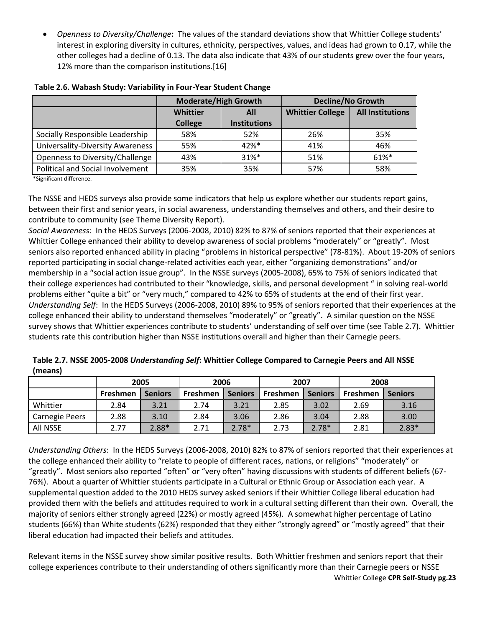*Openness to Diversity/Challenge***:** The values of the standard deviations show that Whittier College students' interest in exploring diversity in cultures, ethnicity, perspectives, values, and ideas had grown to 0.17, while the other colleges had a decline of 0.13. The data also indicate that 43% of our students grew over the four years, 12% more than the comparison institutions.[16]

|                                  | <b>Moderate/High Growth</b>                              |          | <b>Decline/No Growth</b> |                         |  |
|----------------------------------|----------------------------------------------------------|----------|--------------------------|-------------------------|--|
|                                  | Whittier<br>All<br><b>Institutions</b><br><b>College</b> |          | <b>Whittier College</b>  | <b>All Institutions</b> |  |
| Socially Responsible Leadership  | 58%                                                      | 52%      | 26%                      | 35%                     |  |
| Universality-Diversity Awareness | 55%                                                      | 42%*     | 41%                      | 46%                     |  |
| Openness to Diversity/Challenge  | 43%                                                      | $31\%$ * | 51%                      | $61\%$ <sup>*</sup>     |  |
| Political and Social Involvement | 35%                                                      | 35%      | 57%                      | 58%                     |  |

#### **Table 2.6. Wabash Study: Variability in Four-Year Student Change**

\*Significant difference.

The NSSE and HEDS surveys also provide some indicators that help us explore whether our students report gains, between their first and senior years, in social awareness, understanding themselves and others, and their desire to contribute to community (see Theme Diversity Report).

*Social Awareness*: In the HEDS Surveys (2006-2008, 2010) 82% to 87% of seniors reported that their experiences at Whittier College enhanced their ability to develop awareness of social problems "moderately" or "greatly". Most seniors also reported enhanced ability in placing "problems in historical perspective" (78-81%). About 19-20% of seniors reported participating in social change-related activities each year, either "organizing demonstrations" and/or membership in a "social action issue group". In the NSSE surveys (2005-2008), 65% to 75% of seniors indicated that their college experiences had contributed to their "knowledge, skills, and personal development " in solving real-world problems either "quite a bit" or "very much," compared to 42% to 65% of students at the end of their first year. *Understanding Self*: In the HEDS Surveys (2006-2008, 2010) 89% to 95% of seniors reported that their experiences at the college enhanced their ability to understand themselves "moderately" or "greatly". A similar question on the NSSE survey shows that Whittier experiences contribute to students' understanding of self over time (see Table 2.7). Whittier students rate this contribution higher than NSSE institutions overall and higher than their Carnegie peers.

| Table 2.7. NSSE 2005-2008 Understanding Self: Whittier College Compared to Carnegie Peers and All NSSE |  |
|--------------------------------------------------------------------------------------------------------|--|
| (means)                                                                                                |  |

|                       | 2005     |                | 2006            |                | 2007     |                | 2008     |                |
|-----------------------|----------|----------------|-----------------|----------------|----------|----------------|----------|----------------|
|                       | Freshmen | <b>Seniors</b> | <b>Freshmen</b> | <b>Seniors</b> | Freshmen | <b>Seniors</b> | Freshmen | <b>Seniors</b> |
| Whittier              | 2.84     | 3.21           | 2.74            | 3.21           | 2.85     | 3.02           | 2.69     | 3.16           |
| <b>Carnegie Peers</b> | 2.88     | 3.10           | 2.84            | 3.06           | 2.86     | 3.04           | 2.88     | 3.00           |
| All NSSE              | 2.77     | $2.88*$        | 2.71            | $2.78*$        | 2.73     | $2.78*$        | 2.81     | $2.83*$        |

*Understanding Others*: In the HEDS Surveys (2006-2008, 2010) 82% to 87% of seniors reported that their experiences at the college enhanced their ability to "relate to people of different races, nations, or religions" "moderately" or "greatly". Most seniors also reported "often" or "very often" having discussions with students of different beliefs (67- 76%). About a quarter of Whittier students participate in a Cultural or Ethnic Group or Association each year. A supplemental question added to the 2010 HEDS survey asked seniors if their Whittier College liberal education had provided them with the beliefs and attitudes required to work in a cultural setting different than their own. Overall, the majority of seniors either strongly agreed (22%) or mostly agreed (45%). A somewhat higher percentage of Latino students (66%) than White students (62%) responded that they either "strongly agreed" or "mostly agreed" that their liberal education had impacted their beliefs and attitudes.

Whittier College **CPR Self-Study pg.23** Relevant items in the NSSE survey show similar positive results. Both Whittier freshmen and seniors report that their college experiences contribute to their understanding of others significantly more than their Carnegie peers or NSSE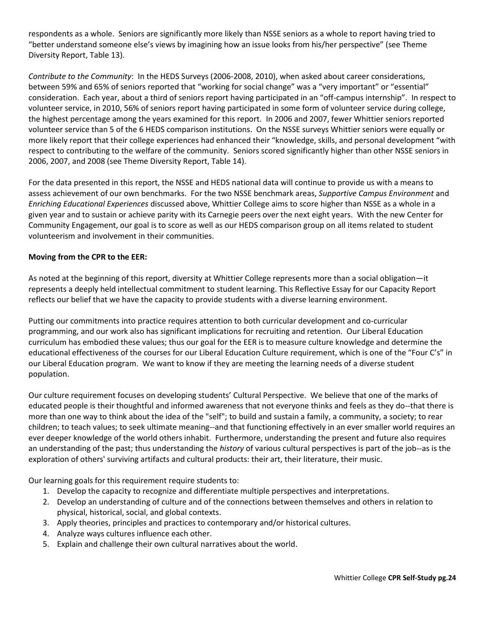respondents as a whole. Seniors are significantly more likely than NSSE seniors as a whole to report having tried to "better understand someone else's views by imagining how an issue looks from his/her perspective" (see Theme Diversity Report, Table 13).

*Contribute to the Community*: In the HEDS Surveys (2006-2008, 2010), when asked about career considerations, between 59% and 65% of seniors reported that "working for social change" was a "very important" or "essential" consideration. Each year, about a third of seniors report having participated in an "off-campus internship". In respect to volunteer service, in 2010, 56% of seniors report having participated in some form of volunteer service during college, the highest percentage among the years examined for this report. In 2006 and 2007, fewer Whittier seniors reported volunteer service than 5 of the 6 HEDS comparison institutions. On the NSSE surveys Whittier seniors were equally or more likely report that their college experiences had enhanced their "knowledge, skills, and personal development "with respect to contributing to the welfare of the community. Seniors scored significantly higher than other NSSE seniors in 2006, 2007, and 2008 (see Theme Diversity Report, Table 14).

For the data presented in this report, the NSSE and HEDS national data will continue to provide us with a means to assess achievement of our own benchmarks. For the two NSSE benchmark areas, *Supportive Campus Environment* and *Enriching Educational Experiences* discussed above, Whittier College aims to score higher than NSSE as a whole in a given year and to sustain or achieve parity with its Carnegie peers over the next eight years. With the new Center for Community Engagement, our goal is to score as well as our HEDS comparison group on all items related to student volunteerism and involvement in their communities.

## **Moving from the CPR to the EER:**

As noted at the beginning of this report, diversity at Whittier College represents more than a social obligation—it represents a deeply held intellectual commitment to student learning. This Reflective Essay for our Capacity Report reflects our belief that we have the capacity to provide students with a diverse learning environment.

Putting our commitments into practice requires attention to both curricular development and co-curricular programming, and our work also has significant implications for recruiting and retention. Our Liberal Education curriculum has embodied these values; thus our goal for the EER is to measure culture knowledge and determine the educational effectiveness of the courses for our Liberal Education Culture requirement, which is one of the "Four C's" in our Liberal Education program. We want to know if they are meeting the learning needs of a diverse student population.

Our culture requirement focuses on developing students' Cultural Perspective. We believe that one of the marks of educated people is their thoughtful and informed awareness that not everyone thinks and feels as they do--that there is more than one way to think about the idea of the "self"; to build and sustain a family, a community, a society; to rear children; to teach values; to seek ultimate meaning--and that functioning effectively in an ever smaller world requires an ever deeper knowledge of the world others inhabit. Furthermore, understanding the present and future also requires an understanding of the past; thus understanding the *history* of various cultural perspectives is part of the job--as is the exploration of others' surviving artifacts and cultural products: their art, their literature, their music.

Our learning goals for this requirement require students to:

- 1. Develop the capacity to recognize and differentiate multiple perspectives and interpretations.
- 2. Develop an understanding of culture and of the connections between themselves and others in relation to physical, historical, social, and global contexts.
- 3. Apply theories, principles and practices to contemporary and/or historical cultures.
- 4. Analyze ways cultures influence each other.
- 5. Explain and challenge their own cultural narratives about the world.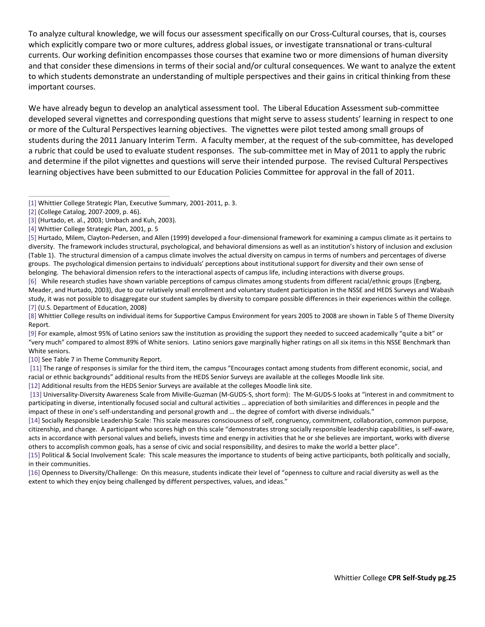To analyze cultural knowledge, we will focus our assessment specifically on our Cross-Cultural courses, that is, courses which explicitly compare two or more cultures, address global issues, or investigate transnational or trans-cultural currents. Our working definition encompasses those courses that examine two or more dimensions of human diversity and that consider these dimensions in terms of their social and/or cultural consequences. We want to analyze the extent to which students demonstrate an understanding of multiple perspectives and their gains in critical thinking from these important courses.

We have already begun to develop an analytical assessment tool. The Liberal Education Assessment sub-committee developed several vignettes and corresponding questions that might serve to assess students' learning in respect to one or more of the Cultural Perspectives learning objectives. The vignettes were pilot tested among small groups of students during the 2011 January Interim Term. A faculty member, at the request of the sub-committee, has developed a rubric that could be used to evaluate student responses. The sub-committee met in May of 2011 to apply the rubric and determine if the pilot vignettes and questions will serve their intended purpose. The revised Cultural Perspectives learning objectives have been submitted to our Education Policies Committee for approval in the fall of 2011.

[\[3\]](https://whittier.compliance-assist.com/Accreditation/#_ftnref3) (Hurtado, et. al., 2003; Umbach and Kuh, 2003).

[\[5\]](https://whittier.compliance-assist.com/Accreditation/#_ftnref5) Hurtado, Milem, Clayton-Pedersen, and Allen (1999) developed a four-dimensional framework for examining a campus climate as it pertains to diversity. The framework includes structural, psychological, and behavioral dimensions as well as an institution's history of inclusion and exclusion (Table 1). The structural dimension of a campus climate involves the actual diversity on campus in terms of numbers and percentages of diverse groups. The psychological dimension pertains to individuals' perceptions about institutional support for diversity and their own sense of belonging. The behavioral dimension refers to the interactional aspects of campus life, including interactions with diverse groups.

[\[6\]](https://whittier.compliance-assist.com/Accreditation/#_ftnref6) While research studies have shown variable perceptions of campus climates among students from different racial/ethnic groups (Engberg, Meader, and Hurtado, 2003), due to our relatively small enrollment and voluntary student participation in the NSSE and HEDS Surveys and Wabash study, it was not possible to disaggregate our student samples by diversity to compare possible differences in their experiences within the college. [\[7\]](https://whittier.compliance-assist.com/Accreditation/#_ftnref7) (U.S. Department of Education, 2008)

[\[8\]](https://whittier.compliance-assist.com/Accreditation/#_ftnref8) Whittier College results on individual items for Supportive Campus Environment for years 2005 to 2008 are shown in Table 5 of Theme Diversity Report.

[\[9\]](https://whittier.compliance-assist.com/Accreditation/#_ftnref9) For example, almost 95% of Latino seniors saw the institution as providing the support they needed to succeed academically "quite a bit" or "very much" compared to almost 89% of White seniors. Latino seniors gave marginally higher ratings on all six items in this NSSE Benchmark than White seniors.

[\[10\]](https://whittier.compliance-assist.com/Accreditation/#_ftnref10) See Table 7 in Theme Community Report.

[\[11\]](https://whittier.compliance-assist.com/Accreditation/#_ftnref11) The range of responses is similar for the third item, the campus "Encourages contact among students from different economic, social, and racial or ethnic backgrounds" additional results from the HEDS Senior Surveys are available at the colleges Moodle link site.

[\[12\]](https://whittier.compliance-assist.com/Accreditation/#_ftnref12) Additional results from the HEDS Senior Surveys are available at the colleges Moodle link site.

[\[13\]](https://whittier.compliance-assist.com/Accreditation/#_ftnref13) Universality-Diversity Awareness Scale from Miville-Guzman (M-GUDS-S, short form): The M-GUDS-S looks at "interest in and commitment to participating in diverse, intentionally focused social and cultural activities … appreciation of both similarities and differences in people and the impact of these in one's self-understanding and personal growth and … the degree of comfort with diverse individuals."

[\[14\]](https://whittier.compliance-assist.com/Accreditation/#_ftnref14) Socially Responsible Leadership Scale: This scale measures consciousness of self, congruency, commitment, collaboration, common purpose, citizenship, and change. A participant who scores high on this scale "demonstrates strong socially responsible leadership capabilities, is self-aware, acts in accordance with personal values and beliefs, invests time and energy in activities that he or she believes are important, works with diverse others to accomplish common goals, has a sense of civic and social responsibility, and desires to make the world a better place".

[\[15\]](https://whittier.compliance-assist.com/Accreditation/#_ftnref15) Political & Social Involvement Scale: This scale measures the importance to students of being active participants, both politically and socially, in their communities.

[\[16\]](https://whittier.compliance-assist.com/Accreditation/#_ftnref16) Openness to Diversity/Challenge: On this measure, students indicate their level of "openness to culture and racial diversity as well as the extent to which they enjoy being challenged by different perspectives, values, and ideas."

[<sup>\[1\]</sup>](https://whittier.compliance-assist.com/Accreditation/#_ftnref1) Whittier College Strategic Plan, Executive Summary, 2001-2011, p. 3.

[<sup>\[2\]</sup>](https://whittier.compliance-assist.com/Accreditation/#_ftnref2) (College Catalog, 2007-2009, p. 46).

[<sup>\[4\]</sup>](https://whittier.compliance-assist.com/Accreditation/#_ftnref4) Whittier College Strategic Plan, 2001, p. 5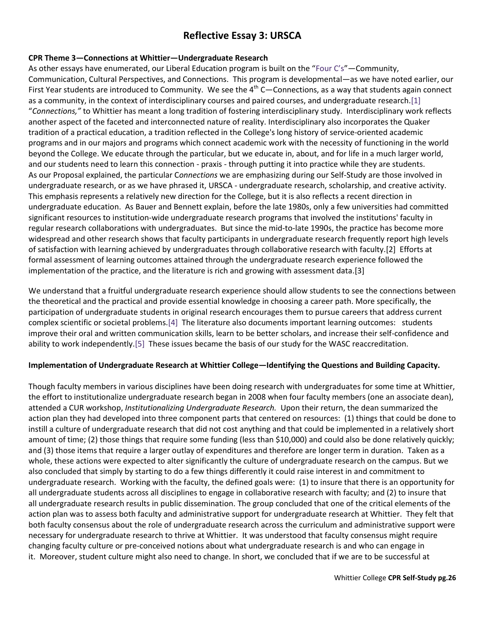# **Reflective Essay 3: URSCA**

### **CPR Theme 3—Connections at Whittier—Undergraduate Research**

As other essays have enumerated, our Liberal Education program is built on the ["Four C's"](http://www.whittier.edu/Academics/LiberalEducationProgram/Curriculum.aspx)—Community, Communication, Cultural Perspectives, and Connections. This program is developmental—as we have noted earlier, our First Year students are introduced to Community. We see the  $4^{th}$  C—Connections, as a way that students again connect as a community, in the context of interdisciplinary courses and paired courses, and undergraduate research[.\[1\]](https://whittier.compliance-assist.com/Accreditation/#_ftn1) "*Connections,"* to Whittier has meant a long tradition of fostering interdisciplinary study. Interdisciplinary work reflects another aspect of the faceted and interconnected nature of reality. Interdisciplinary also incorporates the Quaker tradition of a practical education, a tradition reflected in the College's long history of service-oriented academic programs and in our majors and programs which connect academic work with the necessity of functioning in the world beyond the College. We educate through the particular, but we educate in, about, and for life in a much larger world, and our students need to learn this connection - praxis - through putting it into practice while they are students. As our Proposal explained, the particular C*onnections* we are emphasizing during our Self-Study are those involved in undergraduate research, or as we have phrased it, URSCA - undergraduate research, scholarship, and creative activity. This emphasis represents a relatively new direction for the College, but it is also reflects a recent direction in undergraduate education. As Bauer and Bennett explain, before the late 1980s, only a few universities had committed significant resources to institution-wide undergraduate research programs that involved the institutions' faculty in regular research collaborations with undergraduates. But since the mid-to-late 1990s, the practice has become more widespread and other research shows that faculty participants in undergraduate research frequently report high levels of satisfaction with learning achieved by undergraduates through collaborative research with faculty.[2] Efforts at formal assessment of learning outcomes attained through the undergraduate research experience followed the implementation of the practice, and the literature is rich and growing with assessment data.[3]

We understand that a fruitful undergraduate research experience should allow students to see the connections between the theoretical and the practical and provide essential knowledge in choosing a career path. More specifically, the participation of undergraduate students in original research encourages them to pursue careers that address current complex scientific or societal problems[.\[4\]](https://whittier.compliance-assist.com/Accreditation/#_ftn4) The literature also documents important learning outcomes: students improve their oral and written communication skills, learn to be better scholars, and increase their self-confidence and ability to work independently[.\[5\]](https://whittier.compliance-assist.com/Accreditation/#_ftn5) These issues became the basis of our study for the WASC reaccreditation.

### **Implementation of Undergraduate Research at Whittier College—Identifying the Questions and Building Capacity.**

Though faculty members in various disciplines have been doing research with undergraduates for some time at Whittier, the effort to institutionalize undergraduate research began in 2008 when four faculty members (one an associate dean), attended a CUR workshop, *Institutionalizing Undergraduate Research.* Upon their return, the dean summarized the action plan they had developed into three component parts that centered on resources: (1) things that could be done to instill a culture of undergraduate research that did not cost anything and that could be implemented in a relatively short amount of time; (2) those things that require some funding (less than \$10,000) and could also be done relatively quickly; and (3) those items that require a larger outlay of expenditures and therefore are longer term in duration. Taken as a whole, these actions were expected to alter significantly the culture of undergraduate research on the campus. But we also concluded that simply by starting to do a few things differently it could raise interest in and commitment to undergraduate research. Working with the faculty, the defined goals were: (1) to insure that there is an opportunity for all undergraduate students across all disciplines to engage in collaborative research with faculty; and (2) to insure that all undergraduate research results in public dissemination. The group concluded that one of the critical elements of the action plan was to assess both faculty and administrative support for undergraduate research at Whittier. They felt that both faculty consensus about the role of undergraduate research across the curriculum and administrative support were necessary for undergraduate research to thrive at Whittier. It was understood that faculty consensus might require changing faculty culture or pre-conceived notions about what undergraduate research is and who can engage in it. Moreover, student culture might also need to change. In short, we concluded that if we are to be successful at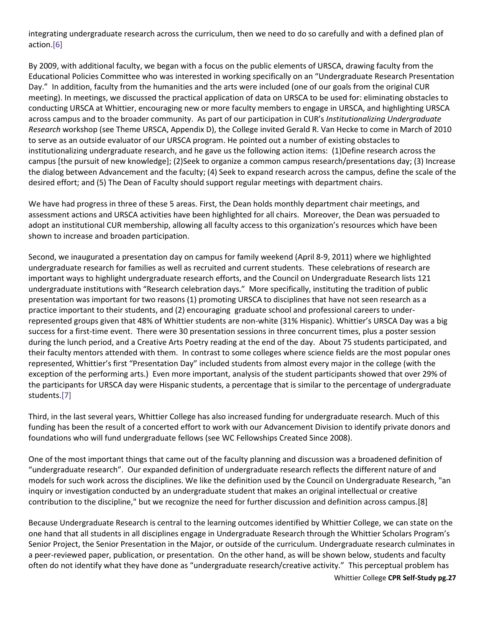integrating undergraduate research across the curriculum, then we need to do so carefully and with a defined plan of action[.\[6\]](https://whittier.compliance-assist.com/Accreditation/#_ftn6)

By 2009, with additional faculty, we began with a focus on the public elements of URSCA, drawing faculty from the Educational Policies Committee who was interested in working specifically on an "Undergraduate Research Presentation Day." In addition, faculty from the humanities and the arts were included (one of our goals from the original CUR meeting). In meetings, we discussed the practical application of data on URSCA to be used for: eliminating obstacles to conducting URSCA at Whittier, encouraging new or more faculty members to engage in URSCA, and highlighting URSCA across campus and to the broader community. As part of our participation in CUR's *Institutionalizing Undergraduate Research* workshop (see Theme URSCA, Appendix D), the College invited Gerald R. Van Hecke to come in March of 2010 to serve as an outside evaluator of our URSCA program. He pointed out a number of existing obstacles to institutionalizing undergraduate research, and he gave us the following action items: (1)Define research across the campus [the pursuit of new knowledge]; (2)Seek to organize a common campus research/presentations day; (3) Increase the dialog between Advancement and the faculty; (4) Seek to expand research across the campus, define the scale of the desired effort; and (5) The Dean of Faculty should support regular meetings with department chairs.

We have had progress in three of these 5 areas. First, the Dean holds monthly department chair meetings, and assessment actions and URSCA activities have been highlighted for all chairs. Moreover, the Dean was persuaded to adopt an institutional CUR membership, allowing all faculty access to this organization's resources which have been shown to increase and broaden participation.

Second, we inaugurated a presentation day on campus for family weekend (April 8-9, 2011) where we highlighted undergraduate research for families as well as recruited and current students. These celebrations of research are important ways to highlight undergraduate research efforts, and the Council on Undergraduate Research lists 121 undergraduate institutions with "Research celebration days." More specifically, instituting the tradition of public presentation was important for two reasons (1) promoting URSCA to disciplines that have not seen research as a practice important to their students, and (2) encouraging graduate school and professional careers to underrepresented groups given that 48% of Whittier students are non-white (31% Hispanic). Whittier's URSCA Day was a big success for a first-time event. There were 30 presentation sessions in three concurrent times, plus a poster session during the lunch period, and a Creative Arts Poetry reading at the end of the day. About 75 students participated, and their faculty mentors attended with them. In contrast to some colleges where science fields are the most popular ones represented, Whittier's first "Presentation Day" included students from almost every major in the college (with the exception of the performing arts.) Even more important, analysis of the student participants showed that over 29% of the participants for URSCA day were Hispanic students, a percentage that is similar to the percentage of undergraduate students[.\[7\]](https://whittier.compliance-assist.com/Accreditation/#_ftn7)

Third, in the last several years, Whittier College has also increased funding for undergraduate research. Much of this funding has been the result of a concerted effort to work with our Advancement Division to identify private donors and foundations who will fund undergraduate fellows (see WC Fellowships Created Since 2008).

One of the most important things that came out of the faculty planning and discussion was a broadened definition of "undergraduate research". Our expanded definition of undergraduate research reflects the different nature of and models for such work across the disciplines. We like the definition used by the Council on Undergraduate Research, "an inquiry or investigation conducted by an undergraduate student that makes an original intellectual or creative contribution to the discipline," but we recognize the need for further discussion and definition across campus.[8]

Because Undergraduate Research is central to the learning outcomes identified by Whittier College, we can state on the one hand that all students in all disciplines engage in Undergraduate Research through the Whittier Scholars Program's Senior Project, the Senior Presentation in the Major, or outside of the curriculum. Undergraduate research culminates in a peer-reviewed paper, publication, or presentation. On the other hand, as will be shown below, students and faculty often do not identify what they have done as "undergraduate research/creative activity." This perceptual problem has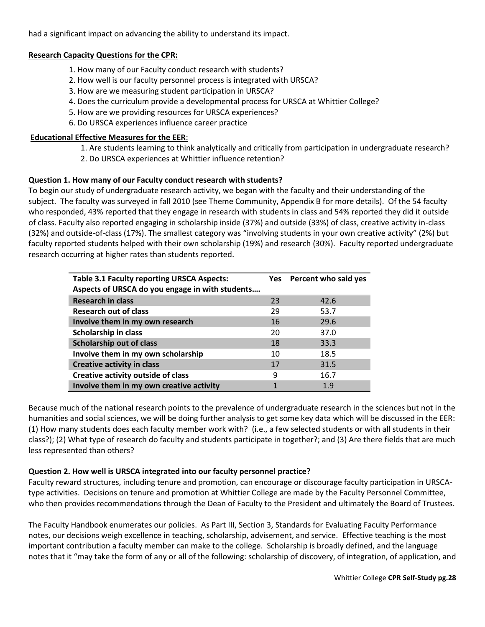had a significant impact on advancing the ability to understand its impact.

## **Research Capacity Questions for the CPR:**

- 1. How many of our Faculty conduct research with students?
- 2. How well is our faculty personnel process is integrated with URSCA?
- 3. How are we measuring student participation in URSCA?
- 4. Does the curriculum provide a developmental process for URSCA at Whittier College?
- 5. How are we providing resources for URSCA experiences?
- 6. Do URSCA experiences influence career practice

## **Educational Effective Measures for the EER**:

 1. Are students learning to think analytically and critically from participation in undergraduate research? 2. Do URSCA experiences at Whittier influence retention?

## **Question 1. How many of our Faculty conduct research with students?**

To begin our study of undergraduate research activity, we began with the faculty and their understanding of the subject. The faculty was surveyed in fall 2010 (see Theme Community, Appendix B for more details). Of the 54 faculty who responded, 43% reported that they engage in research with students in class and 54% reported they did it outside of class. Faculty also reported engaging in scholarship inside (37%) and outside (33%) of class, creative activity in-class (32%) and outside-of-class (17%). The smallest category was "involving students in your own creative activity" (2%) but faculty reported students helped with their own scholarship (19%) and research (30%). Faculty reported undergraduate research occurring at higher rates than students reported.

| <b>Table 3.1 Faculty reporting URSCA Aspects:</b> | Yes | Percent who said yes |
|---------------------------------------------------|-----|----------------------|
| Aspects of URSCA do you engage in with students   |     |                      |
| <b>Research in class</b>                          | 23  | 42.6                 |
| <b>Research out of class</b>                      | 29  | 53.7                 |
| Involve them in my own research                   | 16  | 29.6                 |
| Scholarship in class                              | 20  | 37.0                 |
| <b>Scholarship out of class</b>                   | 18  | 33.3                 |
| Involve them in my own scholarship                | 10  | 18.5                 |
| <b>Creative activity in class</b>                 | 17  | 31.5                 |
| Creative activity outside of class                | 9   | 16.7                 |
| Involve them in my own creative activity          | 1   | 1.9                  |

Because much of the national research points to the prevalence of undergraduate research in the sciences but not in the humanities and social sciences, we will be doing further analysis to get some key data which will be discussed in the EER: (1) How many students does each faculty member work with? (i.e., a few selected students or with all students in their class?); (2) What type of research do faculty and students participate in together?; and (3) Are there fields that are much less represented than others?

### **Question 2. How well is URSCA integrated into our faculty personnel practice?**

Faculty reward structures, including tenure and promotion, can encourage or discourage faculty participation in URSCAtype activities. Decisions on tenure and promotion at Whittier College are made by the Faculty Personnel Committee, who then provides recommendations through the Dean of Faculty to the President and ultimately the Board of Trustees.

The Faculty Handbook enumerates our policies. As Part III, Section 3, Standards for Evaluating Faculty Performance notes, our decisions weigh excellence in teaching, scholarship, advisement, and service. Effective teaching is the most important contribution a faculty member can make to the college. Scholarship is broadly defined, and the language notes that it "may take the form of any or all of the following: scholarship of discovery, of integration, of application, and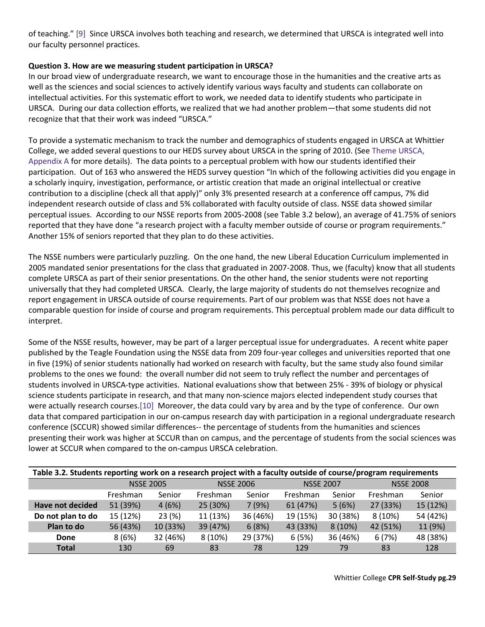of teaching." [\[9\]](https://whittier.compliance-assist.com/Accreditation/#_ftn9) Since URSCA involves both teaching and research, we determined that URSCA is integrated well into our faculty personnel practices.

## **Question 3. How are we measuring student participation in URSCA?**

In our broad view of undergraduate research, we want to encourage those in the humanities and the creative arts as well as the sciences and social sciences to actively identify various ways faculty and students can collaborate on intellectual activities. For this systematic effort to work, we needed data to identify students who participate in URSCA. During our data collection efforts, we realized that we had another problem—that some students did not recognize that that their work was indeed "URSCA."

To provide a systematic mechanism to track the number and demographics of students engaged in URSCA at Whittier College, we added several questions to our HEDS survey about URSCA in the spring of 2010. (See [Theme URSCA,](https://whittier.compliance-assist.com/Accreditation/source.aspx?id=b0bd3a92-71a3-e011-bf02-0024e84f6678)  [Appendix A](https://whittier.compliance-assist.com/Accreditation/source.aspx?id=b0bd3a92-71a3-e011-bf02-0024e84f6678) for more details). The data points to a perceptual problem with how our students identified their participation. Out of 163 who answered the HEDS survey question "In which of the following activities did you engage in a scholarly inquiry, investigation, performance, or artistic creation that made an original intellectual or creative contribution to a discipline (check all that apply)" only 3% presented research at a conference off campus, 7% did independent research outside of class and 5% collaborated with faculty outside of class. NSSE data showed similar perceptual issues. According to our NSSE reports from 2005-2008 (see Table 3.2 below), an average of 41.75% of seniors reported that they have done "a research project with a faculty member outside of course or program requirements." Another 15% of seniors reported that they plan to do these activities.

The NSSE numbers were particularly puzzling. On the one hand, the new Liberal Education Curriculum implemented in 2005 mandated senior presentations for the class that graduated in 2007-2008. Thus, we (faculty) know that all students complete URSCA as part of their senior presentations. On the other hand, the senior students were not reporting universally that they had completed URSCA. Clearly, the large majority of students do not themselves recognize and report engagement in URSCA outside of course requirements. Part of our problem was that NSSE does not have a comparable question for inside of course and program requirements. This perceptual problem made our data difficult to interpret.

Some of the NSSE results, however, may be part of a larger perceptual issue for undergraduates. A recent white paper published by the Teagle Foundation using the NSSE data from 209 four-year colleges and universities reported that one in five (19%) of senior students nationally had worked on research with faculty, but the same study also found similar problems to the ones we found: the overall number did not seem to truly reflect the number and percentages of students involved in URSCA-type activities. National evaluations show that between 25% - 39% of biology or physical science students participate in research, and that many non-science majors elected independent study courses that were actually research courses[.\[10\]](https://whittier.compliance-assist.com/Accreditation/#_ftn10) Moreover, the data could vary by area and by the type of conference. Our own data that compared participation in our on-campus research day with participation in a regional undergraduate research conference (SCCUR) showed similar differences-- the percentage of students from the humanities and sciences presenting their work was higher at SCCUR than on campus, and the percentage of students from the social sciences was lower at SCCUR when compared to the on-campus URSCA celebration.

| Table 3.2. Students reporting work on a research project with a faculty outside of course/program requirements |                  |          |          |                  |          |                  |          |                  |  |
|----------------------------------------------------------------------------------------------------------------|------------------|----------|----------|------------------|----------|------------------|----------|------------------|--|
|                                                                                                                | <b>NSSE 2005</b> |          |          | <b>NSSE 2006</b> |          | <b>NSSE 2007</b> |          | <b>NSSE 2008</b> |  |
|                                                                                                                | Freshman         | Senior   | Freshman | Senior           | Freshman | Senior           | Freshman | Senior           |  |
| <b>Have not decided</b>                                                                                        | 51 (39%)         | 4(6%)    | 25 (30%) | 7(9%)            | 61 (47%) | 5(6%)            | 27 (33%) | 15 (12%)         |  |
| Do not plan to do                                                                                              | 15 (12%)         | 23(%)    | 11 (13%) | 36 (46%)         | 19 (15%) | 30 (38%)         | 8(10%)   | 54 (42%)         |  |
| Plan to do                                                                                                     | 56 (43%)         | 10 (33%) | 39 (47%) | 6(8%)            | 43 (33%) | 8(10%)           | 42 (51%) | 11 (9%)          |  |
| Done                                                                                                           | 8(6%)            | 32 (46%) | 8 (10%)  | 29 (37%)         | 6(5%)    | 36 (46%)         | 6(7%)    | 48 (38%)         |  |
| <b>Total</b>                                                                                                   | 130              | 69       | 83       | 78               | 129      | 79               | 83       | 128              |  |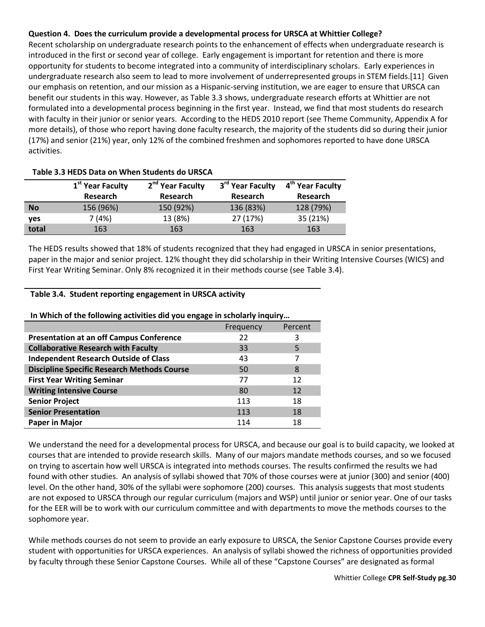## **Question 4. Does the curriculum provide a developmental process for URSCA at Whittier College?**

Recent scholarship on undergraduate research points to the enhancement of effects when undergraduate research is introduced in the first or second year of college. Early engagement is important for retention and there is more opportunity for students to become integrated into a community of interdisciplinary scholars. Early experiences in undergraduate research also seem to lead to more involvement of underrepresented groups in STEM fields.[11] Given our emphasis on retention, and our mission as a Hispanic-serving institution, we are eager to ensure that URSCA can benefit our students in this way. However, as Table 3.3 shows, undergraduate research efforts at Whittier are not formulated into a developmental process beginning in the first year. Instead, we find that most students do research with faculty in their junior or senior years. According to the HEDS 2010 report (see Theme Community, Appendix A for more details), of those who report having done faculty research, the majority of the students did so during their junior (17%) and senior (21%) year, only 12% of the combined freshmen and sophomores reported to have done URSCA activities.

|           | 1 <sup>st</sup> Year Faculty | 2 <sup>nd</sup> Year Faculty | 3 <sup>rd</sup> Year Faculty | 4 <sup>th</sup> Year Faculty |
|-----------|------------------------------|------------------------------|------------------------------|------------------------------|
|           | Research                     | Research                     | Research                     | Research                     |
| <b>No</b> | 156 (96%)                    | 150 (92%)                    | 136 (83%)                    | 128 (79%)                    |
| yes       | 7 (4%)                       | 13 (8%)                      | 27 (17%)                     | 35 (21%)                     |
| total     | 163                          | 163                          | 163                          | 163                          |

#### **Table 3.3 HEDS Data on When Students do URSCA**

The HEDS results showed that 18% of students recognized that they had engaged in URSCA in senior presentations, paper in the major and senior project. 12% thought they did scholarship in their Writing Intensive Courses (WICS) and First Year Writing Seminar. Only 8% recognized it in their methods course (see Table 3.4).

#### **Table 3.4. Student reporting engagement in URSCA activity**

|                                                    | Frequency | Percent |  |
|----------------------------------------------------|-----------|---------|--|
| <b>Presentation at an off Campus Conference</b>    | 22        | 3       |  |
| <b>Collaborative Research with Faculty</b>         | 33        | 5       |  |
| <b>Independent Research Outside of Class</b>       | 43        |         |  |
| <b>Discipline Specific Research Methods Course</b> | 50        | 8       |  |
| <b>First Year Writing Seminar</b>                  | 77        | 12      |  |
| <b>Writing Intensive Course</b>                    | 80        | 12      |  |
| <b>Senior Project</b>                              | 113       | 18      |  |
| <b>Senior Presentation</b>                         | 113       | 18      |  |
| Paper in Major                                     | 114       | 18      |  |

**In Which of the following activities did you engage in scholarly inquiry…**

We understand the need for a developmental process for URSCA, and because our goal is to build capacity, we looked at courses that are intended to provide research skills. Many of our majors mandate methods courses, and so we focused on trying to ascertain how well URSCA is integrated into methods courses. The results confirmed the results we had found with other studies. An analysis of syllabi showed that 70% of those courses were at junior (300) and senior (400) level. On the other hand, 30% of the syllabi were sophomore (200) courses. This analysis suggests that most students are not exposed to URSCA through our regular curriculum (majors and WSP) until junior or senior year. One of our tasks for the EER will be to work with our curriculum committee and with departments to move the methods courses to the sophomore year.

While methods courses do not seem to provide an early exposure to URSCA, the Senior Capstone Courses provide every student with opportunities for URSCA experiences. An analysis of syllabi showed the richness of opportunities provided by faculty through these Senior Capstone Courses. While all of these "Capstone Courses" are designated as formal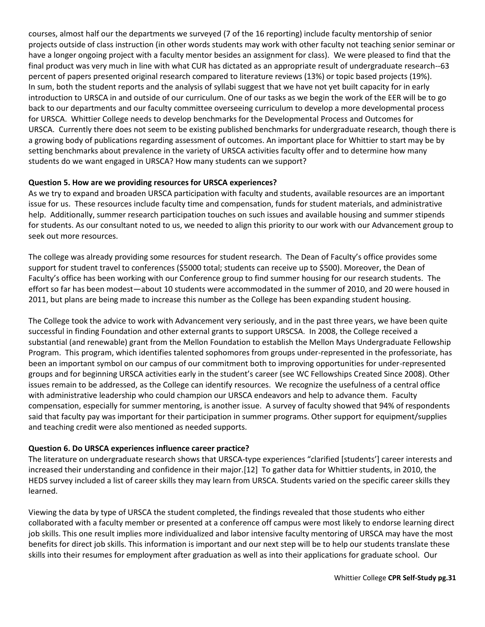courses, almost half our the departments we surveyed (7 of the 16 reporting) include faculty mentorship of senior projects outside of class instruction (in other words students may work with other faculty not teaching senior seminar or have a longer ongoing project with a faculty mentor besides an assignment for class). We were pleased to find that the final product was very much in line with what CUR has dictated as an appropriate result of undergraduate research--63 percent of papers presented original research compared to literature reviews (13%) or topic based projects (19%). In sum, both the student reports and the analysis of syllabi suggest that we have not yet built capacity for in early introduction to URSCA in and outside of our curriculum. One of our tasks as we begin the work of the EER will be to go back to our departments and our faculty committee overseeing curriculum to develop a more developmental process for URSCA. Whittier College needs to develop benchmarks for the Developmental Process and Outcomes for URSCA. Currently there does not seem to be existing published benchmarks for undergraduate research, though there is a growing body of publications regarding assessment of outcomes. An important place for Whittier to start may be by setting benchmarks about prevalence in the variety of URSCA activities faculty offer and to determine how many students do we want engaged in URSCA? How many students can we support?

## **Question 5. How are we providing resources for URSCA experiences?**

As we try to expand and broaden URSCA participation with faculty and students, available resources are an important issue for us. These resources include faculty time and compensation, funds for student materials, and administrative help. Additionally, summer research participation touches on such issues and available housing and summer stipends for students. As our consultant noted to us, we needed to align this priority to our work with our Advancement group to seek out more resources.

The college was already providing some resources for student research. The Dean of Faculty's office provides some support for student travel to conferences (\$5000 total; students can receive up to \$500). Moreover, the Dean of Faculty's office has been working with our Conference group to find summer housing for our research students. The effort so far has been modest—about 10 students were accommodated in the summer of 2010, and 20 were housed in 2011, but plans are being made to increase this number as the College has been expanding student housing.

The College took the advice to work with Advancement very seriously, and in the past three years, we have been quite successful in finding Foundation and other external grants to support URSCSA. In 2008, the College received a substantial (and renewable) grant from the Mellon Foundation to establish the Mellon Mays Undergraduate Fellowship Program. This program, which identifies talented sophomores from groups under-represented in the professoriate, has been an important symbol on our campus of our commitment both to improving opportunities for under-represented groups and for beginning URSCA activities early in the student's career (see WC Fellowships Created Since 2008). Other issues remain to be addressed, as the College can identify resources. We recognize the usefulness of a central office with administrative leadership who could champion our URSCA endeavors and help to advance them. Faculty compensation, especially for summer mentoring, is another issue. A survey of faculty showed that 94% of respondents said that faculty pay was important for their participation in summer programs. Other support for equipment/supplies and teaching credit were also mentioned as needed supports.

### **Question 6. Do URSCA experiences influence career practice?**

The literature on undergraduate research shows that URSCA-type experiences "clarified [students'] career interests and increased their understanding and confidence in their major.[12] To gather data for Whittier students, in 2010, the HEDS survey included a list of career skills they may learn from URSCA. Students varied on the specific career skills they learned.

Viewing the data by type of URSCA the student completed, the findings revealed that those students who either collaborated with a faculty member or presented at a conference off campus were most likely to endorse learning direct job skills. This one result implies more individualized and labor intensive faculty mentoring of URSCA may have the most benefits for direct job skills. This information is important and our next step will be to help our students translate these skills into their resumes for employment after graduation as well as into their applications for graduate school. Our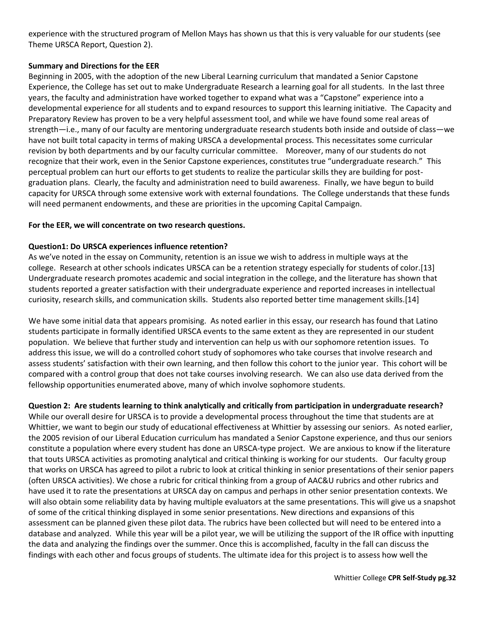experience with the structured program of Mellon Mays has shown us that this is very valuable for our students (see Theme URSCA Report, Question 2).

## **Summary and Directions for the EER**

Beginning in 2005, with the adoption of the new Liberal Learning curriculum that mandated a Senior Capstone Experience, the College has set out to make Undergraduate Research a learning goal for all students. In the last three years, the faculty and administration have worked together to expand what was a "Capstone" experience into a developmental experience for all students and to expand resources to support this learning initiative. The Capacity and Preparatory Review has proven to be a very helpful assessment tool, and while we have found some real areas of strength—i.e., many of our faculty are mentoring undergraduate research students both inside and outside of class—we have not built total capacity in terms of making URSCA a developmental process. This necessitates some curricular revision by both departments and by our faculty curricular committee. Moreover, many of our students do not recognize that their work, even in the Senior Capstone experiences, constitutes true "undergraduate research." This perceptual problem can hurt our efforts to get students to realize the particular skills they are building for postgraduation plans. Clearly, the faculty and administration need to build awareness. Finally, we have begun to build capacity for URSCA through some extensive work with external foundations. The College understands that these funds will need permanent endowments, and these are priorities in the upcoming Capital Campaign.

## **For the EER, we will concentrate on two research questions.**

## **Question1: Do URSCA experiences influence retention?**

As we've noted in the essay on Community, retention is an issue we wish to address in multiple ways at the college. Research at other schools indicates URSCA can be a retention strategy especially for students of color.[13] Undergraduate research promotes academic and social integration in the college, and the literature has shown that students reported a greater satisfaction with their undergraduate experience and reported increases in intellectual curiosity, research skills, and communication skills. Students also reported better time management skills.[14]

We have some initial data that appears promising. As noted earlier in this essay, our research has found that Latino students participate in formally identified URSCA events to the same extent as they are represented in our student population. We believe that further study and intervention can help us with our sophomore retention issues. To address this issue, we will do a controlled cohort study of sophomores who take courses that involve research and assess students' satisfaction with their own learning, and then follow this cohort to the junior year. This cohort will be compared with a control group that does not take courses involving research. We can also use data derived from the fellowship opportunities enumerated above, many of which involve sophomore students.

**Question 2: Are students learning to think analytically and critically from participation in undergraduate research?** While our overall desire for URSCA is to provide a developmental process throughout the time that students are at Whittier, we want to begin our study of educational effectiveness at Whittier by assessing our seniors. As noted earlier, the 2005 revision of our Liberal Education curriculum has mandated a Senior Capstone experience, and thus our seniors constitute a population where every student has done an URSCA-type project. We are anxious to know if the literature that touts URSCA activities as promoting analytical and critical thinking is working for our students. Our faculty group that works on URSCA has agreed to pilot a rubric to look at critical thinking in senior presentations of their senior papers (often URSCA activities). We chose a rubric for critical thinking from a group of AAC&U rubrics and other rubrics and have used it to rate the presentations at URSCA day on campus and perhaps in other senior presentation contexts. We will also obtain some reliability data by having multiple evaluators at the same presentations. This will give us a snapshot of some of the critical thinking displayed in some senior presentations. New directions and expansions of this assessment can be planned given these pilot data. The rubrics have been collected but will need to be entered into a database and analyzed. While this year will be a pilot year, we will be utilizing the support of the IR office with inputting the data and analyzing the findings over the summer. Once this is accomplished, faculty in the fall can discuss the findings with each other and focus groups of students. The ultimate idea for this project is to assess how well the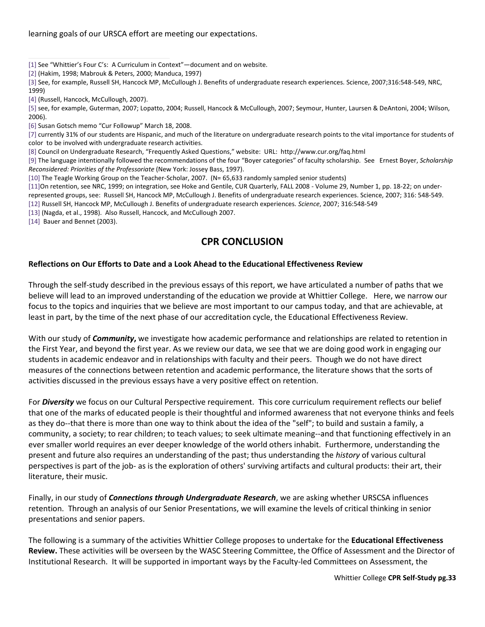learning goals of our URSCA effort are meeting our expectations.

- [\[1\]](https://whittier.compliance-assist.com/Accreditation/#_ftnref1) See "Whittier's Four C's: A Curriculum in Context"—document and on website.
- [\[2\]](https://whittier.compliance-assist.com/Accreditation/#_ftnref2) (Hakim, 1998; Mabrouk & Peters, 2000; Manduca, 1997)

[\[3\]](https://whittier.compliance-assist.com/Accreditation/#_ftnref3) See, for example, Russell SH, Hancock MP, McCullough J. Benefits of undergraduate research experiences. Science, 2007;316:548-549, NRC, 1999)

[\[5\]](https://whittier.compliance-assist.com/Accreditation/#_ftnref5) see, for example, Guterman, 2007; Lopatto, 2004; Russell, Hancock & McCullough, 2007; Seymour, Hunter, Laursen & DeAntoni, 2004; Wilson, 2006).

[\[6\]](https://whittier.compliance-assist.com/Accreditation/#_ftnref6) Susan Gotsch memo "Cur Followup" March 18, 2008.

[\[7\]](https://whittier.compliance-assist.com/Accreditation/#_ftnref7) currently 31% of our students are Hispanic, and much of the literature on undergraduate research points to the vital importance for students of color to be involved with undergraduate research activities.

[\[8\]](https://whittier.compliance-assist.com/Accreditation/#_ftnref8) Council on Undergraduate Research, "Frequently Asked Questions," website: URL: http://www.cur.org/faq.html

[\[9\]](https://whittier.compliance-assist.com/Accreditation/#_ftnref9) The language intentionally followed the recommendations of the four "Boyer categories" of faculty scholarship. See Ernest Boyer, *Scholarship Reconsidered: Priorities of the Professoriate* (New York: Jossey Bass, 1997).

[\[10\]](https://whittier.compliance-assist.com/Accreditation/#_ftnref10) The Teagle Working Group on the Teacher-Scholar, 2007. (N= 65,633 randomly sampled senior students)

[\[11\]O](https://whittier.compliance-assist.com/Accreditation/#_ftnref11)n retention, see NRC, 1999; on integration, see Hoke and Gentile, CUR Quarterly, FALL 2008 - Volume 29, Number 1, pp. 18-22; on underrepresented groups, see: Russell SH, Hancock MP, McCullough J. Benefits of undergraduate research experiences. Science, 2007; 316: 548-549.

[\[12\]](https://whittier.compliance-assist.com/Accreditation/#_ftnref12) Russell SH, Hancock MP, McCullough J. Benefits of undergraduate research experiences. *Science*, 2007; 316:548-549

[\[13\]](https://whittier.compliance-assist.com/Accreditation/#_ftnref13) (Nagda, et al., 1998). Also Russell, Hancock, and McCullough 2007.

[\[14\]](https://whittier.compliance-assist.com/Accreditation/#_ftnref14) Bauer and Bennet (2003).

# **CPR CONCLUSION**

### **Reflections on Our Efforts to Date and a Look Ahead to the Educational Effectiveness Review**

Through the self-study described in the previous essays of this report, we have articulated a number of paths that we believe will lead to an improved understanding of the education we provide at Whittier College. Here, we narrow our focus to the topics and inquiries that we believe are most important to our campus today, and that are achievable, at least in part, by the time of the next phase of our accreditation cycle, the Educational Effectiveness Review.

With our study of *Community***,** we investigate how academic performance and relationships are related to retention in the First Year, and beyond the first year. As we review our data, we see that we are doing good work in engaging our students in academic endeavor and in relationships with faculty and their peers. Though we do not have direct measures of the connections between retention and academic performance, the literature shows that the sorts of activities discussed in the previous essays have a very positive effect on retention.

For *Diversity* we focus on our Cultural Perspective requirement. This core curriculum requirement reflects our belief that one of the marks of educated people is their thoughtful and informed awareness that not everyone thinks and feels as they do--that there is more than one way to think about the idea of the "self"; to build and sustain a family, a community, a society; to rear children; to teach values; to seek ultimate meaning--and that functioning effectively in an ever smaller world requires an ever deeper knowledge of the world others inhabit. Furthermore, understanding the present and future also requires an understanding of the past; thus understanding the *history* of various cultural perspectives is part of the job- as is the exploration of others' surviving artifacts and cultural products: their art, their literature, their music.

Finally, in our study of *Connections through Undergraduate Research*, we are asking whether URSCSA influences retention. Through an analysis of our Senior Presentations, we will examine the levels of critical thinking in senior presentations and senior papers.

The following is a summary of the activities Whittier College proposes to undertake for the **Educational Effectiveness Review.** These activities will be overseen by the WASC Steering Committee, the Office of Assessment and the Director of Institutional Research. It will be supported in important ways by the Faculty-led Committees on Assessment, the

[<sup>\[4\]</sup>](https://whittier.compliance-assist.com/Accreditation/#_ftnref4) (Russell, Hancock, McCullough, 2007).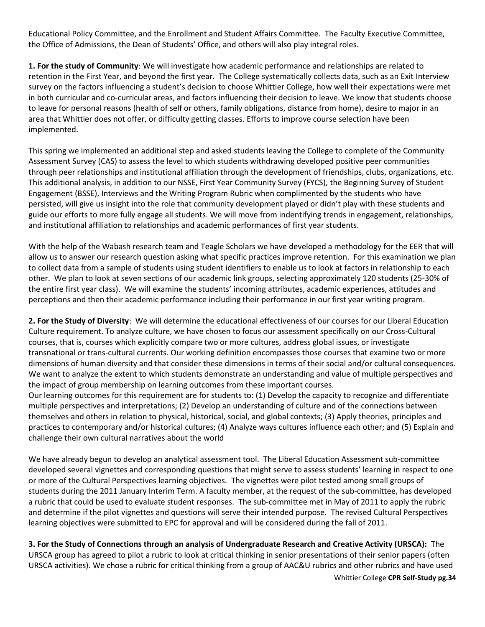Educational Policy Committee, and the Enrollment and Student Affairs Committee. The Faculty Executive Committee, the Office of Admissions, the Dean of Students' Office, and others will also play integral roles.

**1. For the study of Community**: We will investigate how academic performance and relationships are related to retention in the First Year, and beyond the first year. The College systematically collects data, such as an Exit Interview survey on the factors influencing a student's decision to choose Whittier College, how well their expectations were met in both curricular and co-curricular areas, and factors influencing their decision to leave. We know that students choose to leave for personal reasons (health of self or others, family obligations, distance from home), desire to major in an area that Whittier does not offer, or difficulty getting classes. Efforts to improve course selection have been implemented.

This spring we implemented an additional step and asked students leaving the College to complete of the Community Assessment Survey (CAS) to assess the level to which students withdrawing developed positive peer communities through peer relationships and institutional affiliation through the development of friendships, clubs, organizations, etc. This additional analysis, in addition to our NSSE, First Year Community Survey (FYCS), the Beginning Survey of Student Engagement (BSSE), Interviews and the Writing Program Rubric when complimented by the students who have persisted, will give us insight into the role that community development played or didn't play with these students and guide our efforts to more fully engage all students. We will move from indentifying trends in engagement, relationships, and institutional affiliation to relationships and academic performances of first year students.

With the help of the Wabash research team and Teagle Scholars we have developed a methodology for the EER that will allow us to answer our research question asking what specific practices improve retention. For this examination we plan to collect data from a sample of students using student identifiers to enable us to look at factors in relationship to each other. We plan to look at seven sections of our academic link groups, selecting approximately 120 students (25-30% of the entire first year class). We will examine the students' incoming attributes, academic experiences, attitudes and perceptions and then their academic performance including their performance in our first year writing program.

**2. For the Study of Diversity**: We will determine the educational effectiveness of our courses for our Liberal Education Culture requirement. To analyze culture, we have chosen to focus our assessment specifically on our Cross-Cultural courses, that is, courses which explicitly compare two or more cultures, address global issues, or investigate transnational or trans-cultural currents. Our working definition encompasses those courses that examine two or more dimensions of human diversity and that consider these dimensions in terms of their social and/or cultural consequences. We want to analyze the extent to which students demonstrate an understanding and value of multiple perspectives and the impact of group membership on learning outcomes from these important courses.

Our learning outcomes for this requirement are for students to: (1) Develop the capacity to recognize and differentiate multiple perspectives and interpretations; (2) Develop an understanding of culture and of the connections between themselves and others in relation to physical, historical, social, and global contexts; (3) Apply theories, principles and practices to contemporary and/or historical cultures; (4) Analyze ways cultures influence each other; and (5) Explain and challenge their own cultural narratives about the world

We have already begun to develop an analytical assessment tool. The Liberal Education Assessment sub-committee developed several vignettes and corresponding questions that might serve to assess students' learning in respect to one or more of the Cultural Perspectives learning objectives. The vignettes were pilot tested among small groups of students during the 2011 January Interim Term. A faculty member, at the request of the sub-committee, has developed a rubric that could be used to evaluate student responses. The sub-committee met in May of 2011 to apply the rubric and determine if the pilot vignettes and questions will serve their intended purpose. The revised Cultural Perspectives learning objectives were submitted to EPC for approval and will be considered during the fall of 2011.

**3. For the Study of Connections through an analysis of Undergraduate Research and Creative Activity (URSCA):** The URSCA group has agreed to pilot a rubric to look at critical thinking in senior presentations of their senior papers (often URSCA activities). We chose a rubric for critical thinking from a group of AAC&U rubrics and other rubrics and have used